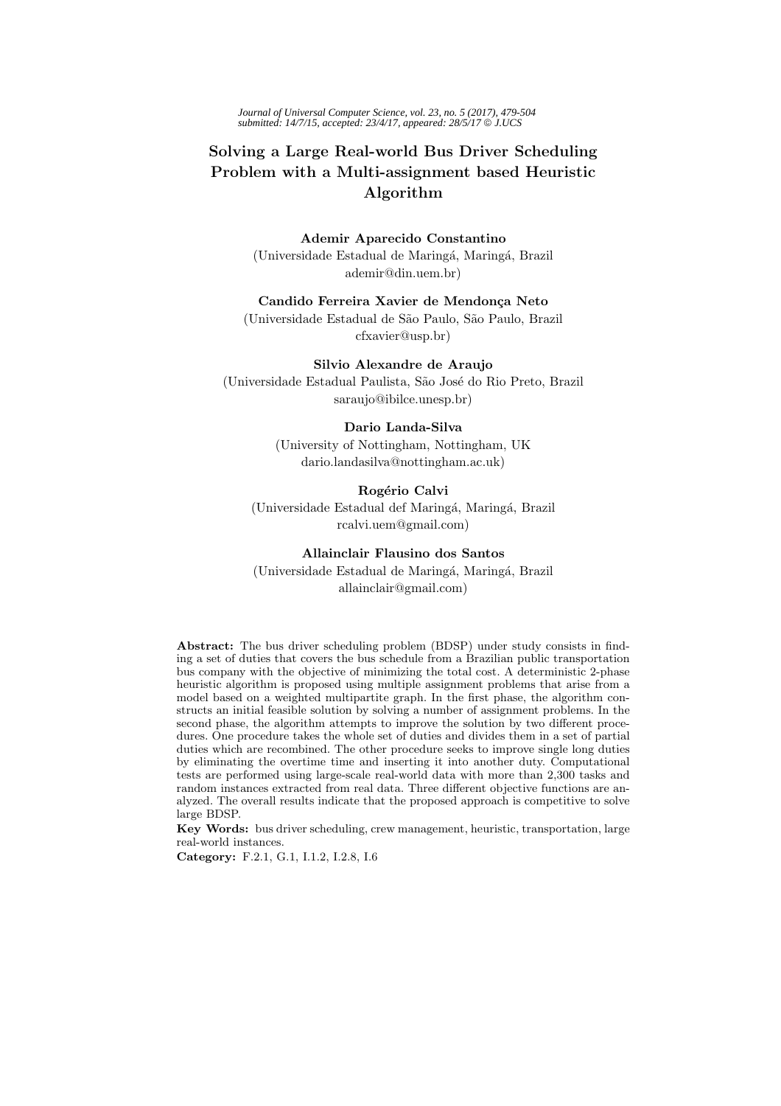*Journal of Universal Computer Science, vol. 23, no. 5 (2017), 479-504 submitted: 14/7/15, accepted: 23/4/17, appeared: 28/5/17* © *J.UCS*

# **Solving a Large Real-world Bus Driver Scheduling Problem with a Multi-assignment based Heuristic Algorithm**

**Ademir Aparecido Constantino** (Universidade Estadual de Maring´a, Maring´a, Brazil ademir@din.uem.br)

**Candido Ferreira Xavier de Mendon¸ca Neto**

(Universidade Estadual de S˜ao Paulo, S˜ao Paulo, Brazil cfxavier@usp.br)

**Silvio Alexandre de Araujo** (Universidade Estadual Paulista, São José do Rio Preto, Brazil saraujo@ibilce.unesp.br)

## **Dario Landa-Silva**

(University of Nottingham, Nottingham, UK dario.landasilva@nottingham.ac.uk)

## **Rogério Calvi**

(Universidade Estadual def Maringá, Maringá, Brazil rcalvi.uem@gmail.com)

## **Allainclair Flausino dos Santos**

(Universidade Estadual de Maringá, Maringá, Brazil) allainclair@gmail.com)

**Abstract:** The bus driver scheduling problem (BDSP) under study consists in finding a set of duties that covers the bus schedule from a Brazilian public transportation bus company with the objective of minimizing the total cost. A deterministic 2-phase heuristic algorithm is proposed using multiple assignment problems that arise from a model based on a weighted multipartite graph. In the first phase, the algorithm constructs an initial feasible solution by solving a number of assignment problems. In the second phase, the algorithm attempts to improve the solution by two different procedures. One procedure takes the whole set of duties and divides them in a set of partial duties which are recombined. The other procedure seeks to improve single long duties by eliminating the overtime time and inserting it into another duty. Computational tests are performed using large-scale real-world data with more than 2,300 tasks and random instances extracted from real data. Three different objective functions are analyzed. The overall results indicate that the proposed approach is competitive to solve large BDSP.

**Key Words:** bus driver scheduling, crew management, heuristic, transportation, large real-world instances.

**Category:** F.2.1, G.1, I.1.2, I.2.8, I.6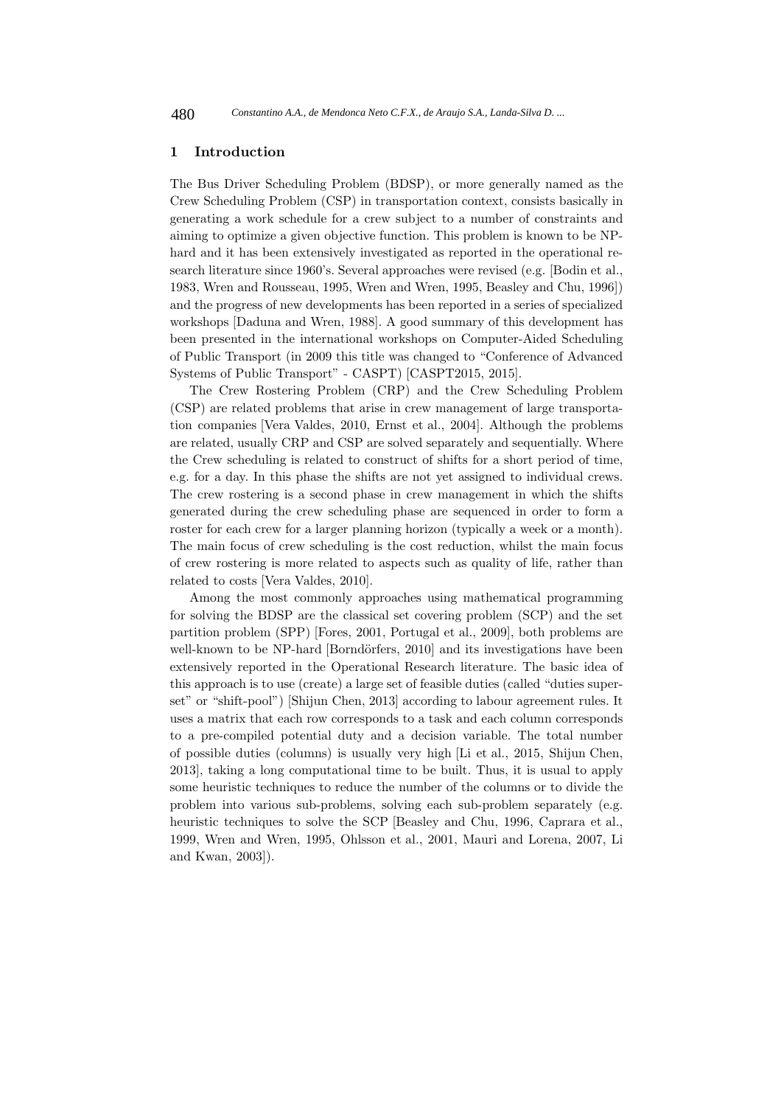## **1 Introduction**

The Bus Driver Scheduling Problem (BDSP), or more generally named as the Crew Scheduling Problem (CSP) in transportation context, consists basically in generating a work schedule for a crew subject to a number of constraints and aiming to optimize a given objective function. This problem is known to be NPhard and it has been extensively investigated as reported in the operational research literature since 1960's. Several approaches were revised (e.g. [Bodin et al., 1983, Wren and Rousseau, 1995, Wren and Wren, 1995, Beasley and Chu, 1996]) and the progress of new developments has been reported in a series of specialized workshops [Daduna and Wren, 1988]. A good summary of this development has been presented in the international workshops on Computer-Aided Scheduling of Public Transport (in 2009 this title was changed to "Conference of Advanced Systems of Public Transport" - CASPT) [CASPT2015, 2015].

The Crew Rostering Problem (CRP) and the Crew Scheduling Problem (CSP) are related problems that arise in crew management of large transportation companies [Vera Valdes, 2010, Ernst et al., 2004]. Although the problems are related, usually CRP and CSP are solved separately and sequentially. Where the Crew scheduling is related to construct of shifts for a short period of time, e.g. for a day. In this phase the shifts are not yet assigned to individual crews. The crew rostering is a second phase in crew management in which the shifts generated during the crew scheduling phase are sequenced in order to form a roster for each crew for a larger planning horizon (typically a week or a month). The main focus of crew scheduling is the cost reduction, whilst the main focus of crew rostering is more related to aspects such as quality of life, rather than related to costs [Vera Valdes, 2010].

Among the most commonly approaches using mathematical programming for solving the BDSP are the classical set covering problem (SCP) and the set partition problem (SPP) [Fores, 2001, Portugal et al., 2009], both problems are well-known to be NP-hard [Borndörfers, 2010] and its investigations have been extensively reported in the Operational Research literature. The basic idea of this approach is to use (create) a large set of feasible duties (called "duties superset" or "shift-pool") [Shijun Chen, 2013] according to labour agreement rules. It uses a matrix that each row corresponds to a task and each column corresponds to a pre-compiled potential duty and a decision variable. The total number of possible duties (columns) is usually very high [Li et al., 2015, Shijun Chen, 2013], taking a long computational time to be built. Thus, it is usual to apply some heuristic techniques to reduce the number of the columns or to divide the problem into various sub-problems, solving each sub-problem separately (e.g. heuristic techniques to solve the SCP [Beasley and Chu, 1996, Caprara et al., 1999, Wren and Wren, 1995, Ohlsson et al., 2001, Mauri and Lorena, 2007, Li and Kwan, 2003]).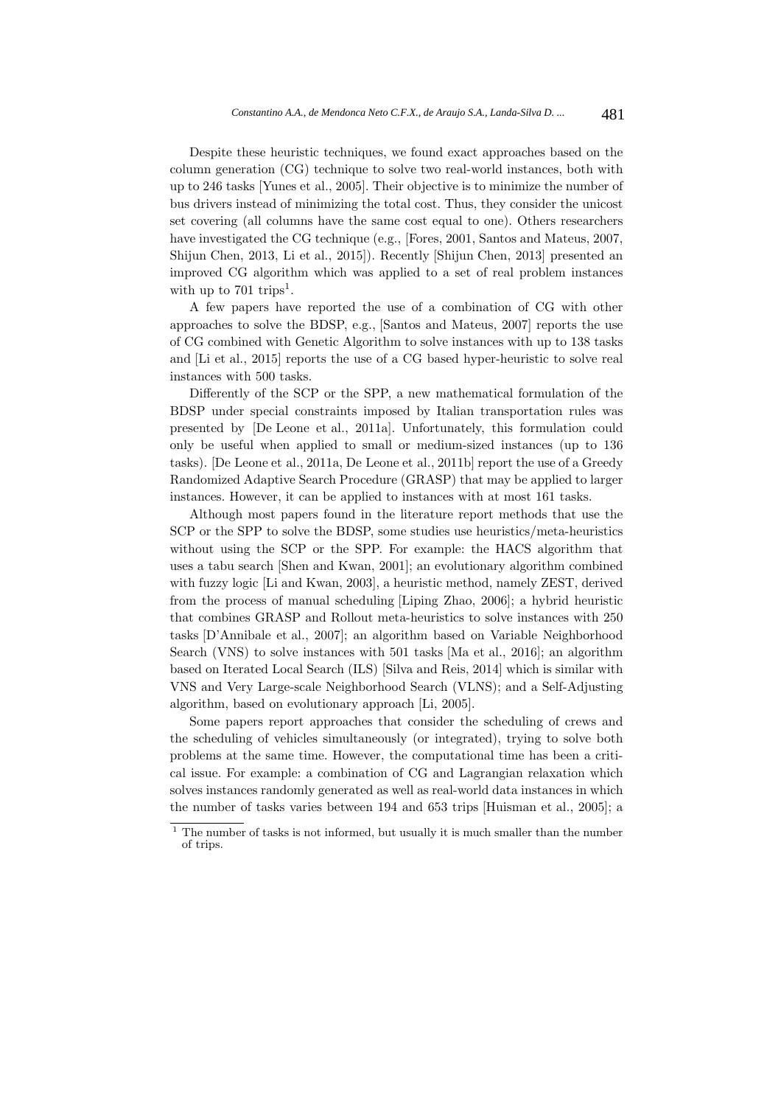Despite these heuristic techniques, we found exact approaches based on the column generation (CG) technique to solve two real-world instances, both with up to 246 tasks [Yunes et al., 2005]. Their objective is to minimize the number of bus drivers instead of minimizing the total cost. Thus, they consider the unicost set covering (all columns have the same cost equal to one). Others researchers have investigated the CG technique (e.g., [Fores, 2001, Santos and Mateus, 2007, Shijun Chen, 2013, Li et al., 2015]). Recently [Shijun Chen, 2013] presented an improved CG algorithm which was applied to a set of real problem instances with up to  $701 \text{ trips}^1$ .

A few papers have reported the use of a combination of CG with other approaches to solve the BDSP, e.g., [Santos and Mateus, 2007] reports the use of CG combined with Genetic Algorithm to solve instances with up to 138 tasks and [Li et al., 2015] reports the use of a CG based hyper-heuristic to solve real instances with 500 tasks.

Differently of the SCP or the SPP, a new mathematical formulation of the BDSP under special constraints imposed by Italian transportation rules was presented by [De Leone et al., 2011a]. Unfortunately, this formulation could only be useful when applied to small or medium-sized instances (up to 136 tasks). [De Leone et al., 2011a, De Leone et al., 2011b] report the use of a Greedy Randomized Adaptive Search Procedure (GRASP) that may be applied to larger instances. However, it can be applied to instances with at most 161 tasks.

Although most papers found in the literature report methods that use the SCP or the SPP to solve the BDSP, some studies use heuristics/meta-heuristics without using the SCP or the SPP. For example: the HACS algorithm that uses a tabu search [Shen and Kwan, 2001]; an evolutionary algorithm combined with fuzzy logic [Li and Kwan, 2003], a heuristic method, namely ZEST, derived from the process of manual scheduling [Liping Zhao, 2006]; a hybrid heuristic that combines GRASP and Rollout meta-heuristics to solve instances with 250 tasks [D'Annibale et al., 2007]; an algorithm based on Variable Neighborhood Search (VNS) to solve instances with 501 tasks [Ma et al., 2016]; an algorithm based on Iterated Local Search (ILS) [Silva and Reis, 2014] which is similar with VNS and Very Large-scale Neighborhood Search (VLNS); and a Self-Adjusting algorithm, based on evolutionary approach [Li, 2005].

Some papers report approaches that consider the scheduling of crews and the scheduling of vehicles simultaneously (or integrated), trying to solve both problems at the same time. However, the computational time has been a critical issue. For example: a combination of CG and Lagrangian relaxation which solves instances randomly generated as well as real-world data instances in which the number of tasks varies between 194 and 653 trips [Huisman et al., 2005]; a

 $^{\rm 1}$  The number of tasks is not informed, but usually it is much smaller than the number of trips.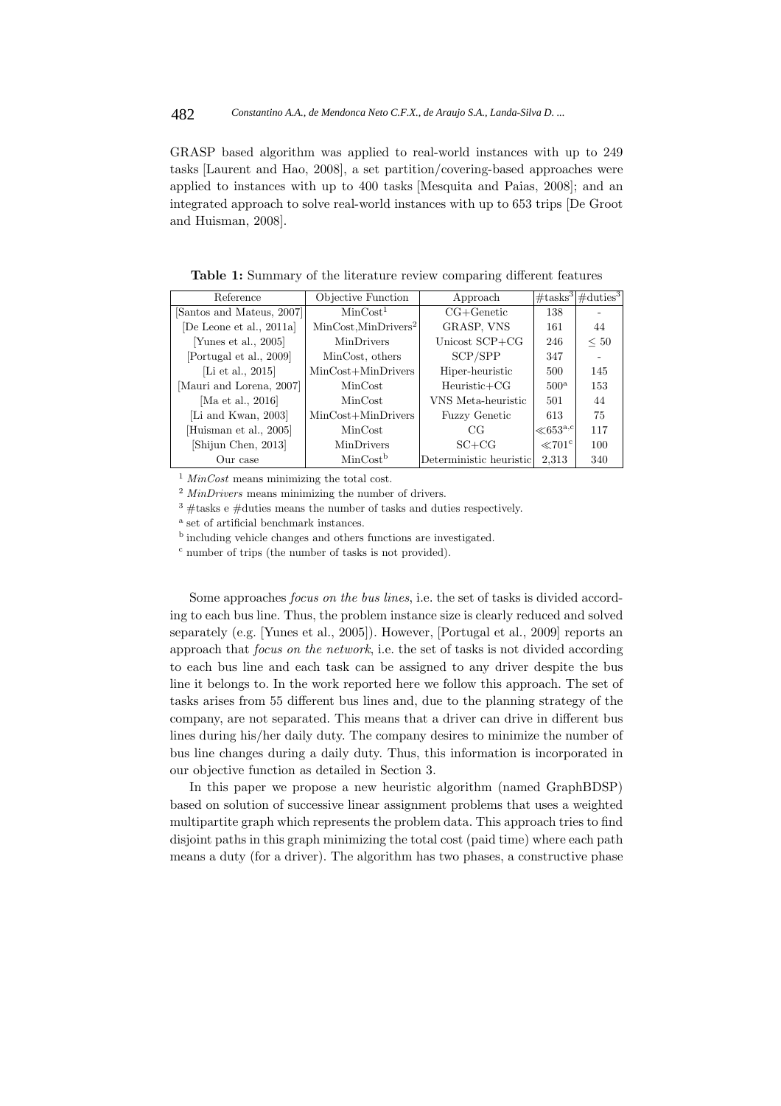GRASP based algorithm was applied to real-world instances with up to 249 tasks [Laurent and Hao, 2008], a set partition/covering-based approaches were applied to instances with up to 400 tasks [Mesquita and Paias, 2008]; and an integrated approach to solve real-world instances with up to 653 trips [De Groot and Huisman, 2008].

| Reference                 | Objective Function               | Approach                |                     | $\#$ tasks <sup>3</sup> $\#$ duties <sup>3</sup> |
|---------------------------|----------------------------------|-------------------------|---------------------|--------------------------------------------------|
| [Santos and Mateus, 2007] | MinCost <sup>1</sup>             | $CG+Genetic$            | 138                 |                                                  |
| [De Leone et al., 2011a]  | MinCost, MinDrivers <sup>2</sup> | GRASP, VNS              | 161                 | 44                                               |
| [Yunes et al., 2005]      | MinDrivers                       | Unicost SCP+CG          | 246                 | $\leq 50$                                        |
| [Portugal et al., 2009]   | MinCost, others                  | SCP/SPP                 | 347                 |                                                  |
| [Li et al., 2015]         | $MinCost+MinDrivers$             | Hiper-heuristic         | 500                 | 145                                              |
| [Mauri and Lorena, 2007]  | MinCost                          | $Heuristic+CG$          | 500 <sup>a</sup>    | 153                                              |
| [Ma et al., 2016]         | MinCost                          | VNS Meta-heuristic      | 501                 | 44                                               |
| [Li and Kwan, 2003]       | $MinCost+MinDrivers$             | <b>Fuzzy Genetic</b>    | 613                 | 75                                               |
| Huisman et al., 2005      | MinCost                          | CG                      | $\ll 653^{\rm a,c}$ | 117                                              |
| [Shijun Chen, 2013]       | MinDrivers                       | $SC+CG$                 | $\ll 701^{\circ}$   | 100                                              |
| Our case                  | MinCost <sup>b</sup>             | Deterministic heuristic | 2.313               | 340                                              |

**Table 1:** Summary of the literature review comparing different features

 $1$  *MinCost* means minimizing the total cost.

<sup>2</sup> MinDrivers means minimizing the number of drivers.

 $3 \text{ #tasks}$  e  $\text{#duties}$  means the number of tasks and duties respectively.

<sup>a</sup> set of artificial benchmark instances.

<sup>b</sup> including vehicle changes and others functions are investigated.

<sup>c</sup> number of trips (the number of tasks is not provided).

Some approaches focus on the bus lines, i.e. the set of tasks is divided according to each bus line. Thus, the problem instance size is clearly reduced and solved separately (e.g. [Yunes et al., 2005]). However, [Portugal et al., 2009] reports an approach that focus on the network, i.e. the set of tasks is not divided according to each bus line and each task can be assigned to any driver despite the bus line it belongs to. In the work reported here we follow this approach. The set of tasks arises from 55 different bus lines and, due to the planning strategy of the company, are not separated. This means that a driver can drive in different bus lines during his/her daily duty. The company desires to minimize the number of bus line changes during a daily duty. Thus, this information is incorporated in our objective function as detailed in Section 3.

In this paper we propose a new heuristic algorithm (named GraphBDSP) based on solution of successive linear assignment problems that uses a weighted multipartite graph which represents the problem data. This approach tries to find disjoint paths in this graph minimizing the total cost (paid time) where each path means a duty (for a driver). The algorithm has two phases, a constructive phase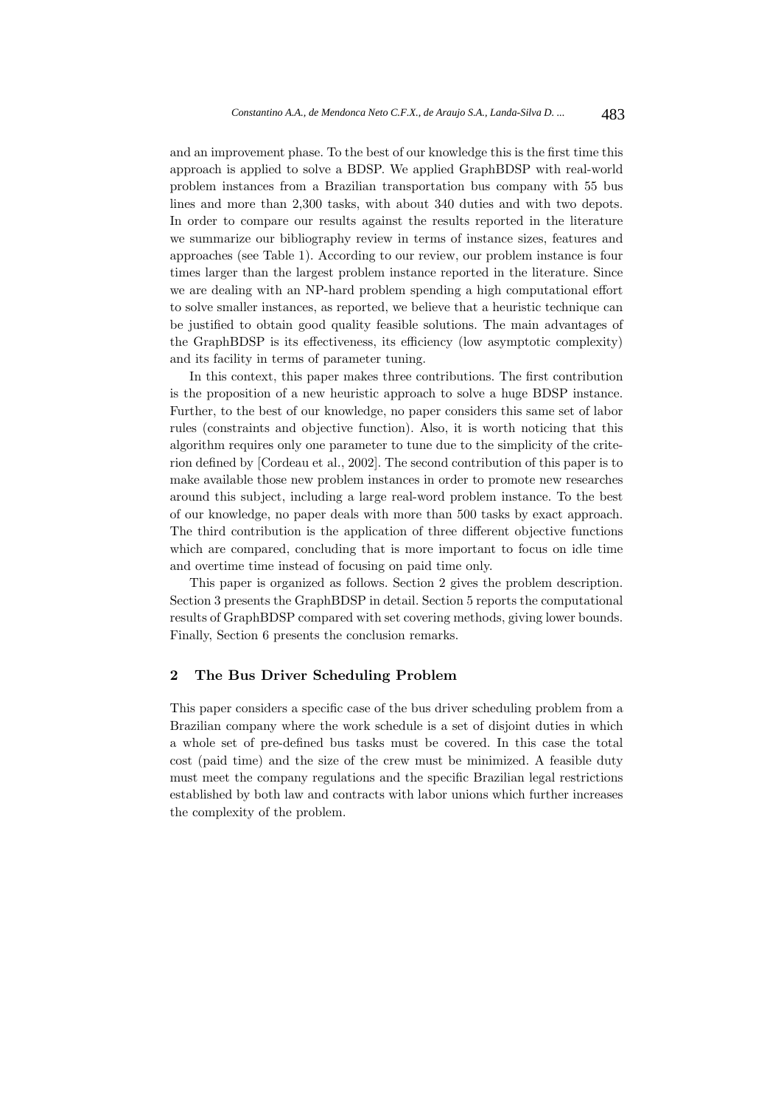and an improvement phase. To the best of our knowledge this is the first time this approach is applied to solve a BDSP. We applied GraphBDSP with real-world problem instances from a Brazilian transportation bus company with 55 bus lines and more than 2,300 tasks, with about 340 duties and with two depots. In order to compare our results against the results reported in the literature we summarize our bibliography review in terms of instance sizes, features and approaches (see Table 1). According to our review, our problem instance is four times larger than the largest problem instance reported in the literature. Since we are dealing with an NP-hard problem spending a high computational effort to solve smaller instances, as reported, we believe that a heuristic technique can be justified to obtain good quality feasible solutions. The main advantages of the GraphBDSP is its effectiveness, its efficiency (low asymptotic complexity) and its facility in terms of parameter tuning.

In this context, this paper makes three contributions. The first contribution is the proposition of a new heuristic approach to solve a huge BDSP instance. Further, to the best of our knowledge, no paper considers this same set of labor rules (constraints and objective function). Also, it is worth noticing that this algorithm requires only one parameter to tune due to the simplicity of the criterion defined by [Cordeau et al., 2002]. The second contribution of this paper is to make available those new problem instances in order to promote new researches around this subject, including a large real-word problem instance. To the best of our knowledge, no paper deals with more than 500 tasks by exact approach. The third contribution is the application of three different objective functions which are compared, concluding that is more important to focus on idle time and overtime time instead of focusing on paid time only.

This paper is organized as follows. Section 2 gives the problem description. Section 3 presents the GraphBDSP in detail. Section 5 reports the computational results of GraphBDSP compared with set covering methods, giving lower bounds. Finally, Section 6 presents the conclusion remarks.

## **2 The Bus Driver Scheduling Problem**

This paper considers a specific case of the bus driver scheduling problem from a Brazilian company where the work schedule is a set of disjoint duties in which a whole set of pre-defined bus tasks must be covered. In this case the total cost (paid time) and the size of the crew must be minimized. A feasible duty must meet the company regulations and the specific Brazilian legal restrictions established by both law and contracts with labor unions which further increases the complexity of the problem.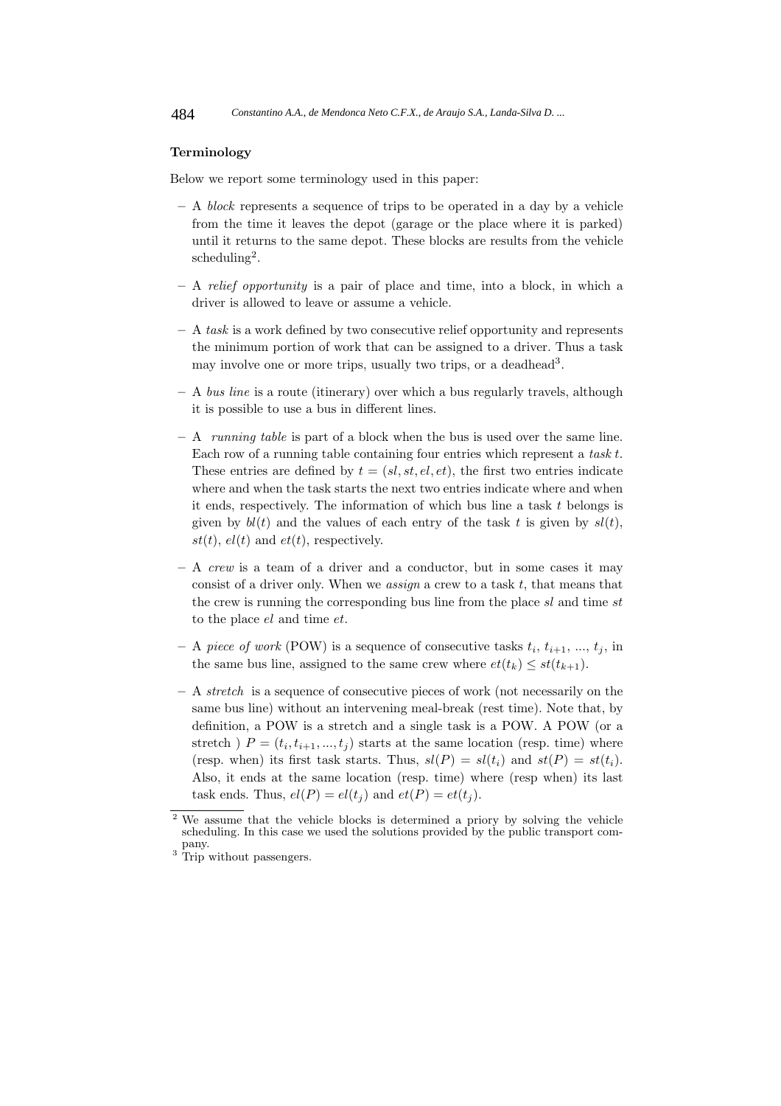#### **Terminology**

Below we report some terminology used in this paper:

- **–** A block represents a sequence of trips to be operated in a day by a vehicle from the time it leaves the depot (garage or the place where it is parked) until it returns to the same depot. These blocks are results from the vehicle  $scheduling<sup>2</sup>$ .
- **–** A relief opportunity is a pair of place and time, into a block, in which a driver is allowed to leave or assume a vehicle.
- **–** A task is a work defined by two consecutive relief opportunity and represents the minimum portion of work that can be assigned to a driver. Thus a task may involve one or more trips, usually two trips, or a deadhead<sup>3</sup>.
- **–** A bus line is a route (itinerary) over which a bus regularly travels, although it is possible to use a bus in different lines.
- **–** A running table is part of a block when the bus is used over the same line. Each row of a running table containing four entries which represent a task t. These entries are defined by  $t = (sl, st, el, et)$ , the first two entries indicate where and when the task starts the next two entries indicate where and when it ends, respectively. The information of which bus line a task  $t$  belongs is given by  $bl(t)$  and the values of each entry of the task t is given by  $sl(t)$ , st(t),  $el(t)$  and  $et(t)$ , respectively.
- **–** A crew is a team of a driver and a conductor, but in some cases it may consist of a driver only. When we *assign* a crew to a task  $t$ , that means that the crew is running the corresponding bus line from the place sl and time st to the place el and time et.
- $-$  A piece of work (POW) is a sequence of consecutive tasks  $t_i$ ,  $t_{i+1}$ , ...,  $t_i$ , in the same bus line, assigned to the same crew where  $et(t_k) \leq st(t_{k+1})$ .
- **–** A stretch is a sequence of consecutive pieces of work (not necessarily on the same bus line) without an intervening meal-break (rest time). Note that, by definition, a POW is a stretch and a single task is a POW. A POW (or a stretch )  $P = (t_i, t_{i+1}, ..., t_i)$  starts at the same location (resp. time) where (resp. when) its first task starts. Thus,  $sl(P) = sl(t_i)$  and  $st(P) = st(t_i)$ . Also, it ends at the same location (resp. time) where (resp when) its last task ends. Thus,  $el(P) = el(t_i)$  and  $et(P) = et(t_i)$ .

<sup>&</sup>lt;sup>2</sup> We assume that the vehicle blocks is determined a priory by solving the vehicle scheduling. In this case we used the solutions provided by the public transport com-

 $3$  Trip without passengers.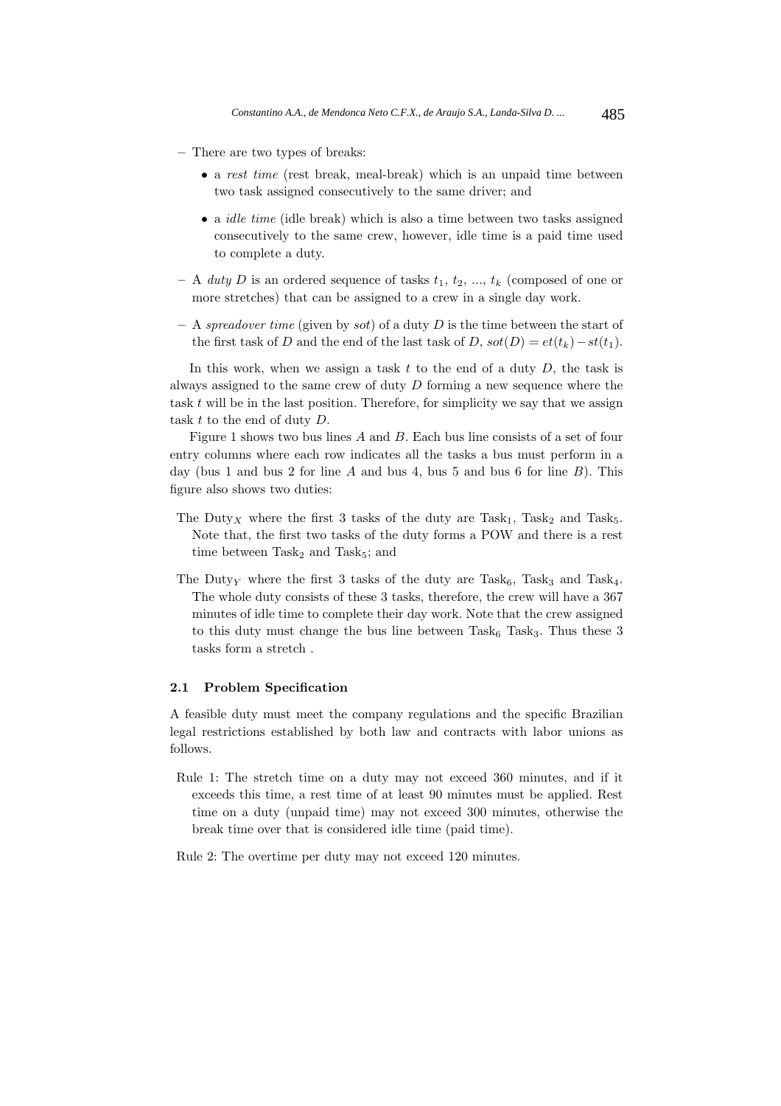- **–** There are two types of breaks:
	- a rest time (rest break, meal-break) which is an unpaid time between two task assigned consecutively to the same driver; and
	- a *idle time* (idle break) which is also a time between two tasks assigned consecutively to the same crew, however, idle time is a paid time used to complete a duty.
- $-$  A *duty* D is an ordered sequence of tasks  $t_1, t_2, ..., t_k$  (composed of one or more stretches) that can be assigned to a crew in a single day work.
- **–** A spreadover time (given by sot) of a duty D is the time between the start of the first task of D and the end of the last task of D,  $sot(D) = et(t_k) - st(t_1)$ .

In this work, when we assign a task t to the end of a duty  $D$ , the task is always assigned to the same crew of duty D forming a new sequence where the task  $t$  will be in the last position. Therefore, for simplicity we say that we assign task t to the end of duty D.

Figure 1 shows two bus lines A and B. Each bus line consists of a set of four entry columns where each row indicates all the tasks a bus must perform in a day (bus 1 and bus 2 for line A and bus 4, bus 5 and bus 6 for line  $B$ ). This figure also shows two duties:

- The Duty<sub>X</sub> where the first 3 tasks of the duty are Task<sub>1</sub>, Task<sub>2</sub> and Task<sub>5</sub>. Note that, the first two tasks of the duty forms a POW and there is a rest time between  $Task<sub>2</sub>$  and  $Task<sub>5</sub>$ ; and
- The Duty<sub>Y</sub> where the first 3 tasks of the duty are Task<sub>6</sub>, Task<sub>3</sub> and Task<sub>4</sub>. The whole duty consists of these 3 tasks, therefore, the crew will have a 367 minutes of idle time to complete their day work. Note that the crew assigned to this duty must change the bus line between  $Task<sub>6</sub>$  Task<sub>3</sub>. Thus these 3 tasks form a stretch .

#### **2.1 Problem Specification**

A feasible duty must meet the company regulations and the specific Brazilian legal restrictions established by both law and contracts with labor unions as follows.

Rule 1: The stretch time on a duty may not exceed 360 minutes, and if it exceeds this time, a rest time of at least 90 minutes must be applied. Rest time on a duty (unpaid time) may not exceed 300 minutes, otherwise the break time over that is considered idle time (paid time).

Rule 2: The overtime per duty may not exceed 120 minutes.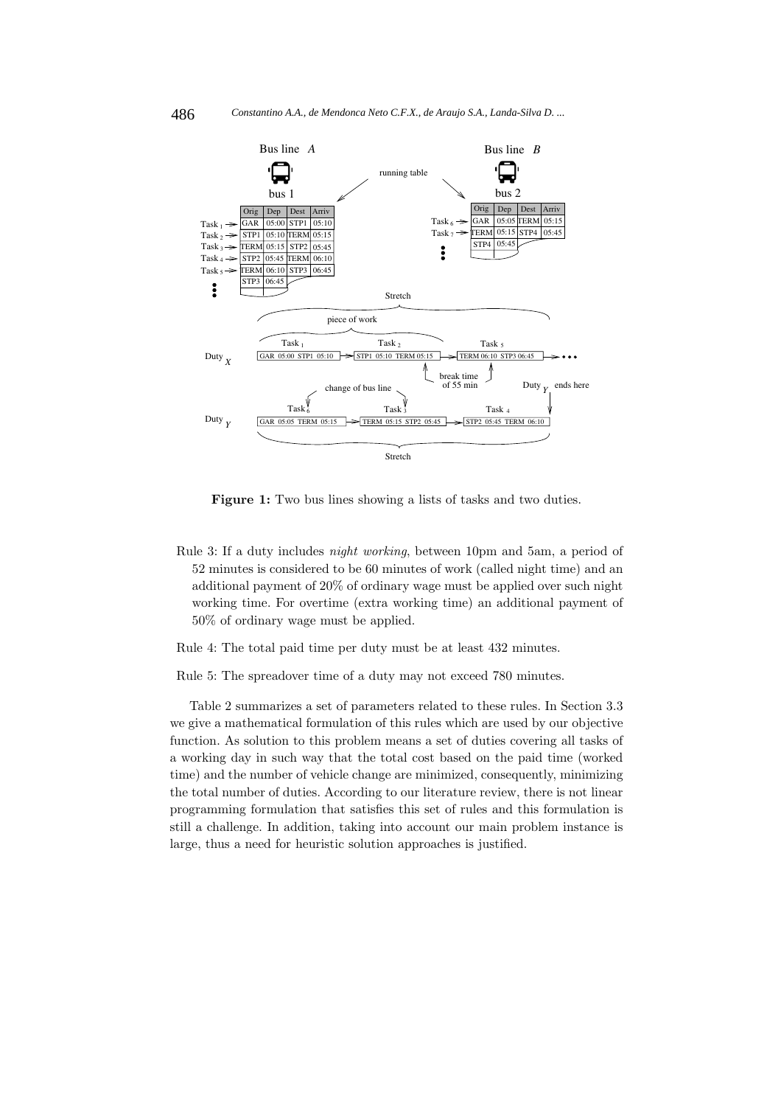

**Figure 1:** Two bus lines showing a lists of tasks and two duties.

Rule 3: If a duty includes night working, between 10pm and 5am, a period of 52 minutes is considered to be 60 minutes of work (called night time) and an additional payment of 20% of ordinary wage must be applied over such night working time. For overtime (extra working time) an additional payment of 50% of ordinary wage must be applied.

Rule 4: The total paid time per duty must be at least 432 minutes.

Rule 5: The spreadover time of a duty may not exceed 780 minutes.

Table 2 summarizes a set of parameters related to these rules. In Section 3.3 we give a mathematical formulation of this rules which are used by our objective function. As solution to this problem means a set of duties covering all tasks of a working day in such way that the total cost based on the paid time (worked time) and the number of vehicle change are minimized, consequently, minimizing the total number of duties. According to our literature review, there is not linear programming formulation that satisfies this set of rules and this formulation is still a challenge. In addition, taking into account our main problem instance is large, thus a need for heuristic solution approaches is justified.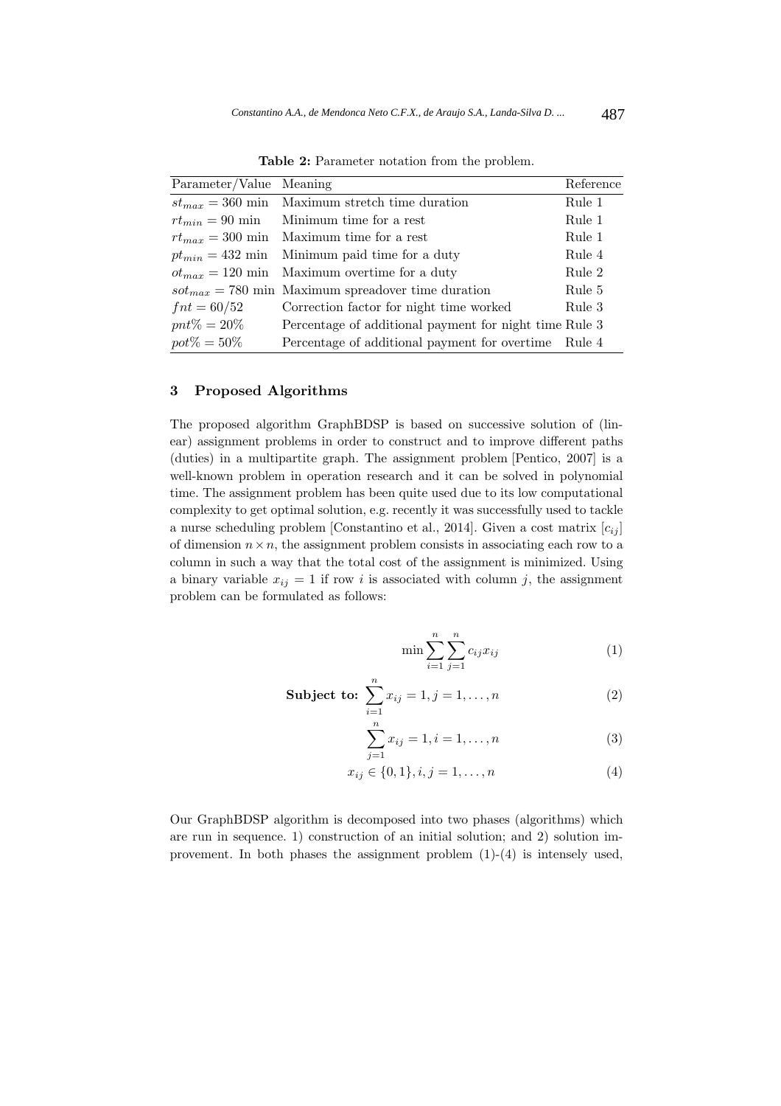| Parameter/Value Meaning |                                                        | Reference |
|-------------------------|--------------------------------------------------------|-----------|
|                         | $st_{max} = 360$ min Maximum stretch time duration     | Rule 1    |
| $rt_{min} = 90$ min     | Minimum time for a rest                                | Rule 1    |
| $rt_{max} = 300$ min    | Maximum time for a rest                                | Rule 1    |
| $pt_{min} = 432$ min    | Minimum paid time for a duty                           | Rule 4    |
|                         | $ot_{max} = 120$ min Maximum overtime for a duty       | Rule 2    |
|                         | $sot_{max} = 780$ min Maximum spreadover time duration | Rule 5    |
| $fnt = 60/52$           | Correction factor for night time worked                | Rule 3    |
| $pnt\% = 20\%$          | Percentage of additional payment for night time Rule 3 |           |
| $pot\% = 50\%$          | Percentage of additional payment for overtime Rule 4   |           |

**Table 2:** Parameter notation from the problem.

## **3 Proposed Algorithms**

The proposed algorithm GraphBDSP is based on successive solution of (linear) assignment problems in order to construct and to improve different paths (duties) in a multipartite graph. The assignment problem [Pentico, 2007] is a well-known problem in operation research and it can be solved in polynomial time. The assignment problem has been quite used due to its low computational complexity to get optimal solution, e.g. recently it was successfully used to tackle a nurse scheduling problem [Constantino et al., 2014]. Given a cost matrix  $[c_{ij}]$ of dimension  $n \times n$ , the assignment problem consists in associating each row to a column in such a way that the total cost of the assignment is minimized. Using a binary variable  $x_{ij} = 1$  if row i is associated with column j, the assignment problem can be formulated as follows:

$$
\min \sum_{i=1}^{n} \sum_{j=1}^{n} c_{ij} x_{ij} \tag{1}
$$

**Subject to:** 
$$
\sum_{i=1}^{n} x_{ij} = 1, j = 1, ..., n
$$
 (2)

$$
\sum_{j=1}^{n} x_{ij} = 1, i = 1, \dots, n
$$
 (3)

$$
x_{ij} \in \{0, 1\}, i, j = 1, \dots, n \tag{4}
$$

Our GraphBDSP algorithm is decomposed into two phases (algorithms) which are run in sequence. 1) construction of an initial solution; and 2) solution improvement. In both phases the assignment problem (1)-(4) is intensely used,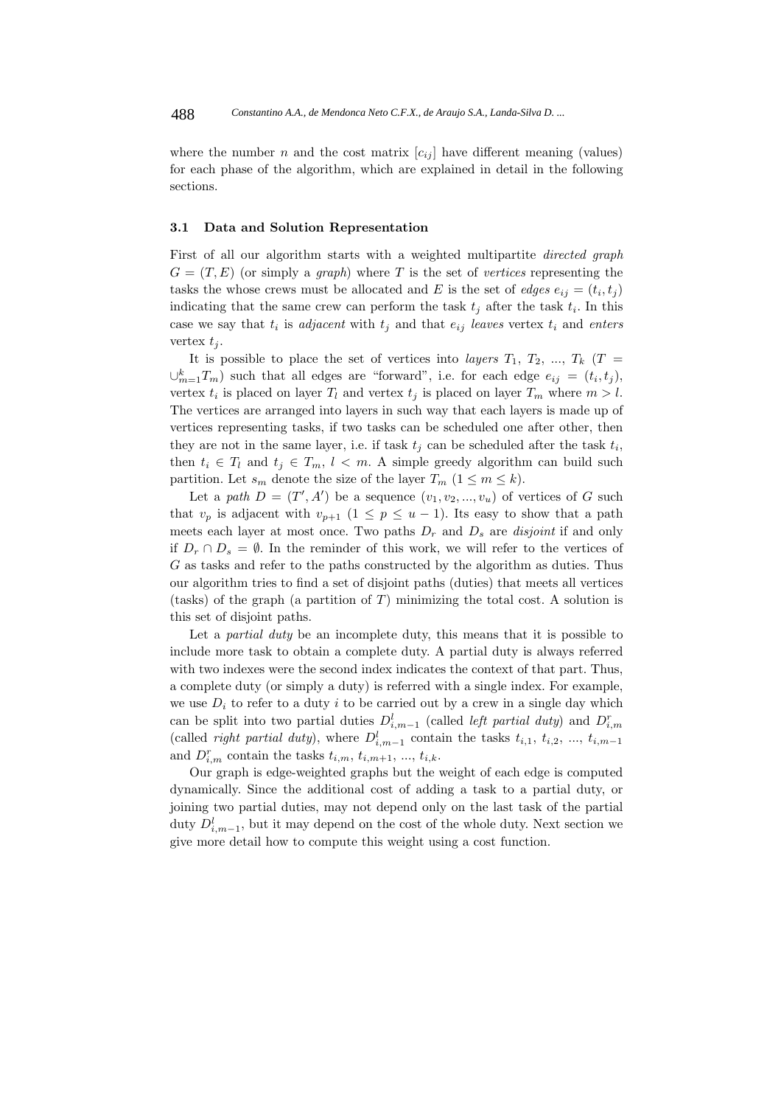where the number n and the cost matrix  $[c_{ij}]$  have different meaning (values) for each phase of the algorithm, which are explained in detail in the following sections.

#### **3.1 Data and Solution Representation**

First of all our algorithm starts with a weighted multipartite *directed graph*  $G = (T, E)$  (or simply a *graph*) where T is the set of vertices representing the tasks the whose crews must be allocated and E is the set of edges  $e_{ij} = (t_i, t_j)$ indicating that the same crew can perform the task  $t_i$  after the task  $t_i$ . In this case we say that  $t_i$  is *adjacent* with  $t_j$  and that  $e_{ij}$  leaves vertex  $t_i$  and enters vertex  $t_i$ .

It is possible to place the set of vertices into *layers*  $T_1$ ,  $T_2$ , ...,  $T_k$  ( $T =$  $\cup_{m=1}^{k} T_m$ ) such that all edges are "forward", i.e. for each edge  $e_{ij} = (t_i, t_j)$ , vertex  $t_i$  is placed on layer  $T_l$  and vertex  $t_j$  is placed on layer  $T_m$  where  $m > l$ . The vertices are arranged into layers in such way that each layers is made up of vertices representing tasks, if two tasks can be scheduled one after other, then they are not in the same layer, i.e. if task  $t_i$  can be scheduled after the task  $t_i$ , then  $t_i \in T_l$  and  $t_j \in T_m$ ,  $l < m$ . A simple greedy algorithm can build such partition. Let  $s_m$  denote the size of the layer  $T_m$   $(1 \leq m \leq k)$ .

Let a path  $D = (T', A')$  be a sequence  $(v_1, v_2, ..., v_u)$  of vertices of G such that  $v_p$  is adjacent with  $v_{p+1}$   $(1 \leq p \leq u-1)$ . Its easy to show that a path meets each layer at most once. Two paths  $D_r$  and  $D_s$  are *disjoint* if and only if  $D_r \cap D_s = \emptyset$ . In the reminder of this work, we will refer to the vertices of G as tasks and refer to the paths constructed by the algorithm as duties. Thus our algorithm tries to find a set of disjoint paths (duties) that meets all vertices (tasks) of the graph (a partition of  $T$ ) minimizing the total cost. A solution is this set of disjoint paths.

Let a *partial duty* be an incomplete duty, this means that it is possible to include more task to obtain a complete duty. A partial duty is always referred with two indexes were the second index indicates the context of that part. Thus, a complete duty (or simply a duty) is referred with a single index. For example, we use  $D_i$  to refer to a duty i to be carried out by a crew in a single day which can be split into two partial duties  $D_{i,m-1}^l$  (called *left partial duty*) and  $D_{i,m}^r$ (called *right partial duty*), where  $D^l_{i,m-1}$  contain the tasks  $t_{i,1}, t_{i,2}, ..., t_{i,m-1}$ and  $D_{i,m}^r$  contain the tasks  $t_{i,m}$ ,  $t_{i,m+1}$ , ...,  $t_{i,k}$ .

Our graph is edge-weighted graphs but the weight of each edge is computed dynamically. Since the additional cost of adding a task to a partial duty, or joining two partial duties, may not depend only on the last task of the partial duty  $D^l_{i,m-1}$ , but it may depend on the cost of the whole duty. Next section we give more detail how to compute this weight using a cost function.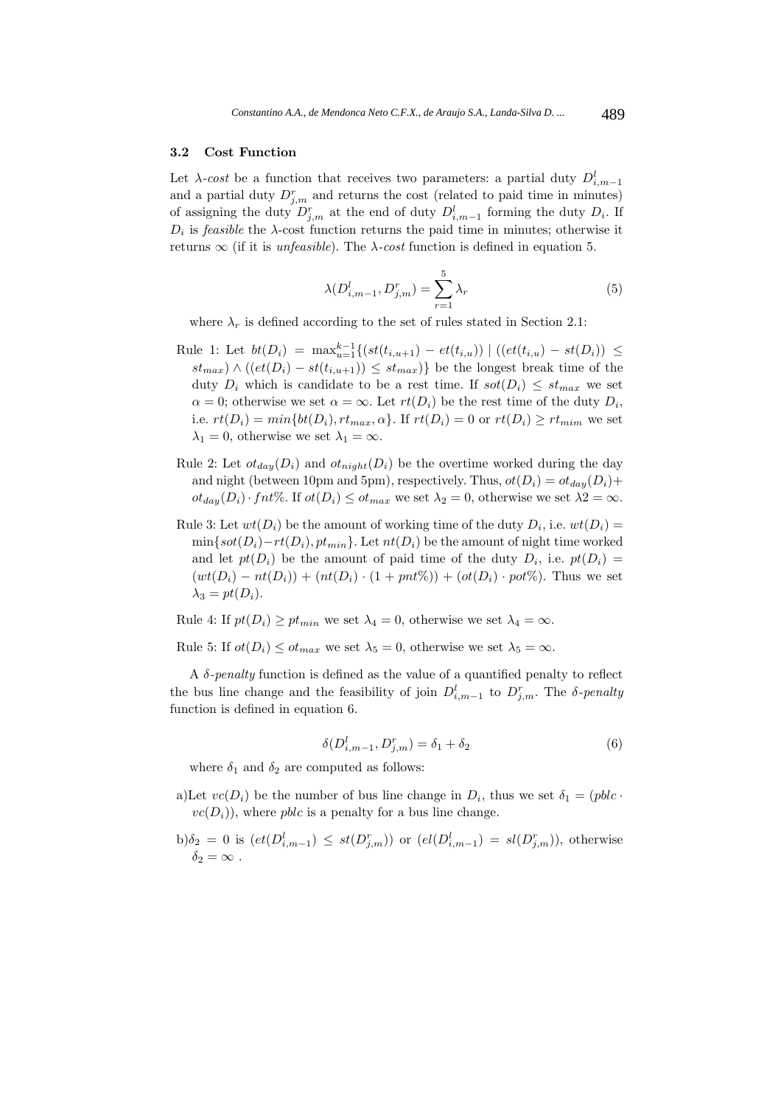#### **3.2 Cost Function**

Let  $\lambda$ -cost be a function that receives two parameters: a partial duty  $D_{i,m-1}^l$ and a partial duty  $D^r_{j,m}$  and returns the cost (related to paid time in minutes) of assigning the duty  $D_{j,m}^r$  at the end of duty  $D_{i,m-1}^l$  forming the duty  $D_i$ . If  $D_i$  is *feasible* the  $\lambda$ -cost function returns the paid time in minutes; otherwise it returns  $\infty$  (if it is *unfeasible*). The  $\lambda$ -cost function is defined in equation 5.

$$
\lambda(D_{i,m-1}^l, D_{j,m}^r) = \sum_{r=1}^5 \lambda_r \tag{5}
$$

where  $\lambda_r$  is defined according to the set of rules stated in Section 2.1:

- Rule 1: Let  $bt(D_i) = \max_{u=1}^{k-1} \{ (st(t_{i,u+1}) et(t_{i,u})) \mid ((et(t_{i,u}) st(D_i)) \leq$  $st_{max}$ )  $\wedge$  ( $\left( et(D_i) - st(t_{i,u+1}) \right) \leq st_{max}$ )} be the longest break time of the duty  $D_i$  which is candidate to be a rest time. If  $sot(D_i) \leq st_{max}$  we set  $\alpha = 0$ ; otherwise we set  $\alpha = \infty$ . Let  $rt(D_i)$  be the rest time of the duty  $D_i$ , i.e.  $rt(D_i) = min\{bt(D_i), rt_{max}, \alpha\}$ . If  $rt(D_i) = 0$  or  $rt(D_i) \geq rt_{min}$  we set  $\lambda_1 = 0$ , otherwise we set  $\lambda_1 = \infty$ .
- Rule 2: Let  $ot_{day}(D_i)$  and  $ot_{night}(D_i)$  be the overtime worked during the day and night (between 10pm and 5pm), respectively. Thus,  $ot(D_i) = ot_{day}(D_i) +$  $ot_{day}(D_i) \cdot fnt\%.$  If  $ot(D_i) \leq ot_{max}$  we set  $\lambda_2 = 0$ , otherwise we set  $\lambda_2 = \infty$ .
- Rule 3: Let  $wt(D_i)$  be the amount of working time of the duty  $D_i$ , i.e.  $wt(D_i)$  =  $\min\{sot(D_i)-rt(D_i), pt_{min}\}\$ . Let  $nt(D_i)$  be the amount of night time worked and let  $pt(D_i)$  be the amount of paid time of the duty  $D_i$ , i.e.  $pt(D_i)$  $(wt(D_i) - nt(D_i)) + (nt(D_i) \cdot (1 + pnt\%)) + (ot(D_i) \cdot pot\%)$ . Thus we set  $\lambda_3 = pt(D_i).$

Rule 4: If  $pt(D_i) \geq pt_{min}$  we set  $\lambda_4 = 0$ , otherwise we set  $\lambda_4 = \infty$ .

Rule 5: If  $ot(D_i) \leq ot_{max}$  we set  $\lambda_5 = 0$ , otherwise we set  $\lambda_5 = \infty$ .

A δ-penalty function is defined as the value of a quantified penalty to reflect the bus line change and the feasibility of join  $D_{i,m-1}^l$  to  $D_{j,m}^r$ . The  $\delta$ -penalty function is defined in equation 6.

$$
\delta(D_{i,m-1}^l, D_{j,m}^r) = \delta_1 + \delta_2 \tag{6}
$$

where  $\delta_1$  and  $\delta_2$  are computed as follows:

- a)Let  $vc(D_i)$  be the number of bus line change in  $D_i$ , thus we set  $\delta_1 = (pblc \cdot$  $vc(D_i)$ , where *pblc* is a penalty for a bus line change.
- b) $\delta_2 = 0$  is  $\left( et(D_{i,m-1}^l) \leq st(D_{j,m}^r) \right)$  or  $\left( el(D_{i,m-1}^l) = sl(D_{j,m}^r) \right)$ , otherwise  $\delta_2 = \infty$ .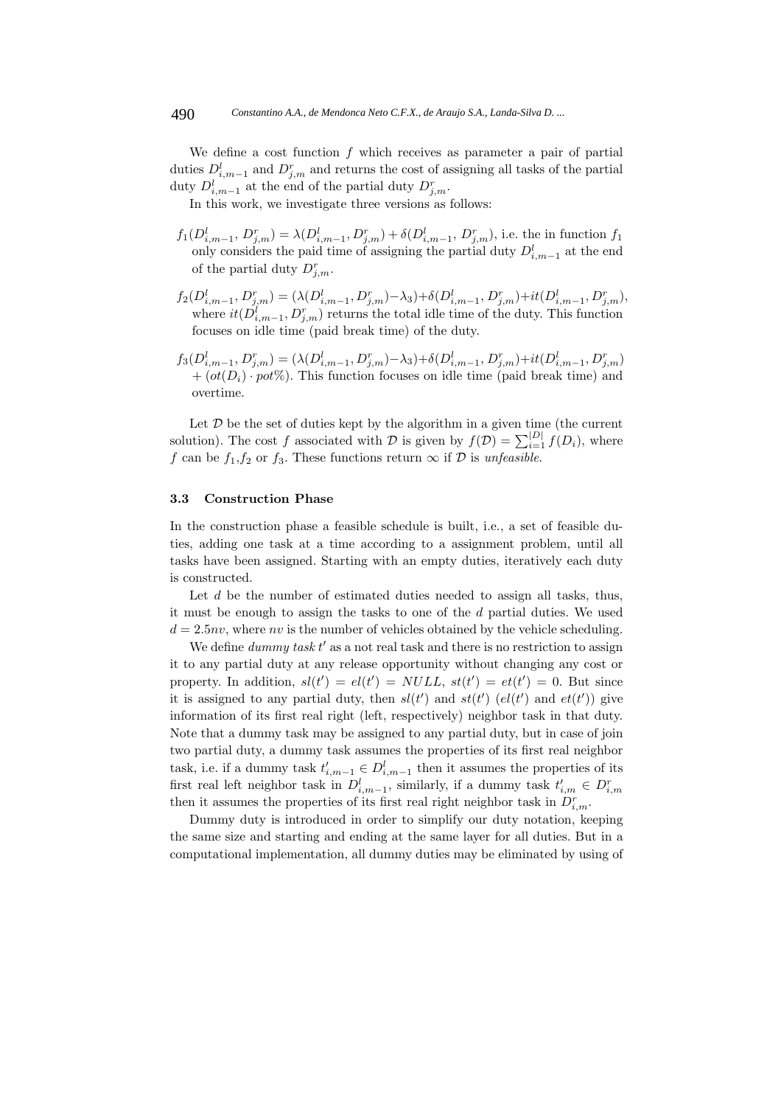We define a cost function  $f$  which receives as parameter a pair of partial duties  $D_{i,m-1}^l$  and  $D_{j,m}^r$  and returns the cost of assigning all tasks of the partial duty  $D_{i,m-1}^l$  at the end of the partial duty  $D_{j,m}^r$ .

In this work, we investigate three versions as follows:

- $f_1(D_{i,m-1}^l, D_{j,m}^r) = \lambda(D_{i,m-1}^l, D_{j,m}^r) + \delta(D_{i,m-1}^l, D_{j,m}^r)$ , i.e. the in function  $f_1$ only considers the paid time of assigning the partial duty  $D^l_{i,m-1}$  at the end of the partial duty  $D^r_{j,m}$ .
- $f_2(D_{i,m-1}^l, D_{j,m}^r) = (\lambda(D_{i,m-1}^l, D_{j,m}^r) \lambda_3) + \delta(D_{i,m-1}^l, D_{j,m}^r) + it(D_{i,m-1}^l, D_{j,m}^r),$ where  $it(D_{i,m-1}^l, D_{j,m}^r)$  returns the total idle time of the duty. This function focuses on idle time (paid break time) of the duty.
- $f_3(D_{i,m-1}^l, D_{j,m}^r) = (\lambda(D_{i,m-1}^l, D_{j,m}^r) \lambda_3) + \delta(D_{i,m-1}^l, D_{j,m}^r) + it(D_{i,m-1}^l, D_{j,m}^r)$  $+ (ot(D_i) \cdot pot\%)$ . This function focuses on idle time (paid break time) and overtime.

Let  $D$  be the set of duties kept by the algorithm in a given time (the current solution). The cost f associated with D is given by  $f(\mathcal{D}) = \sum_{i=1}^{|D|} f(D_i)$ , where f can be  $f_1, f_2$  or  $f_3$ . These functions return  $\infty$  if  $\mathcal{D}$  is unfeasible.

#### **3.3 Construction Phase**

In the construction phase a feasible schedule is built, i.e., a set of feasible duties, adding one task at a time according to a assignment problem, until all tasks have been assigned. Starting with an empty duties, iteratively each duty is constructed.

Let  $d$  be the number of estimated duties needed to assign all tasks, thus, it must be enough to assign the tasks to one of the d partial duties. We used  $d = 2.5nv$ , where nv is the number of vehicles obtained by the vehicle scheduling.

We define  $dummy$  task  $t'$  as a not real task and there is no restriction to assign it to any partial duty at any release opportunity without changing any cost or property. In addition,  $sl(t') = el(t') = NULL$ ,  $st(t') = et(t') = 0$ . But since it is assigned to any partial duty, then  $sl(t')$  and  $st(t')$  ( $el(t')$  and  $et(t')$ ) give information of its first real right (left, respectively) neighbor task in that duty. Note that a dummy task may be assigned to any partial duty, but in case of join two partial duty, a dummy task assumes the properties of its first real neighbor task, i.e. if a dummy task  $t'_{i,m-1} \in D^l_{i,m-1}$  then it assumes the properties of its first real left neighbor task in  $D_{i,m-1}^l$ , similarly, if a dummy task  $t'_{i,m} \in D_{i,m}^r$ then it assumes the properties of its first real right neighbor task in  $D^r_{i,m}$ .

Dummy duty is introduced in order to simplify our duty notation, keeping the same size and starting and ending at the same layer for all duties. But in a computational implementation, all dummy duties may be eliminated by using of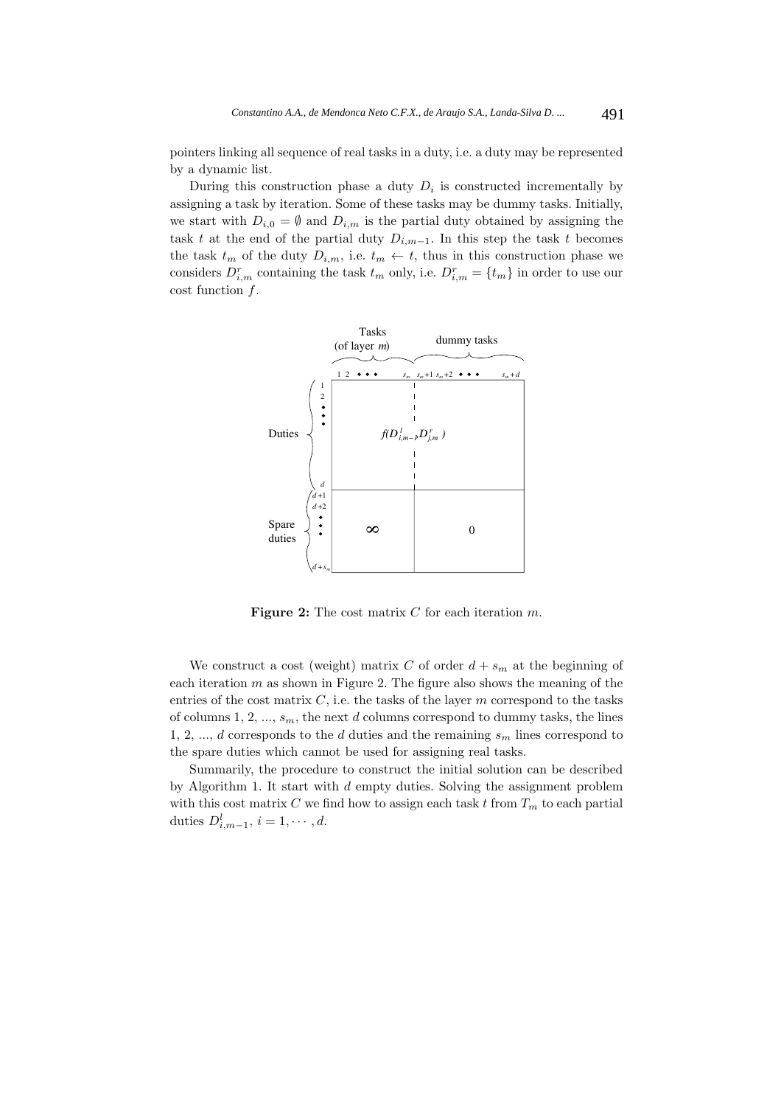pointers linking all sequence of real tasks in a duty, i.e. a duty may be represented by a dynamic list.

During this construction phase a duty  $D_i$  is constructed incrementally by assigning a task by iteration. Some of these tasks may be dummy tasks. Initially, we start with  $D_{i,0} = \emptyset$  and  $D_{i,m}$  is the partial duty obtained by assigning the task t at the end of the partial duty  $D_{i,m-1}$ . In this step the task t becomes the task  $t_m$  of the duty  $D_{i,m}$ , i.e.  $t_m \leftarrow t$ , thus in this construction phase we considers  $D_{i,m}^r$  containing the task  $t_m$  only, i.e.  $D_{i,m}^r = \{t_m\}$  in order to use our cost function f.



**Figure 2:** The cost matrix C for each iteration m.

We construct a cost (weight) matrix C of order  $d + s_m$  at the beginning of each iteration  $m$  as shown in Figure 2. The figure also shows the meaning of the entries of the cost matrix  $C$ , i.e. the tasks of the layer  $m$  correspond to the tasks of columns 1, 2, ...,  $s_m$ , the next d columns correspond to dummy tasks, the lines 1, 2, ..., d corresponds to the d duties and the remaining  $s_m$  lines correspond to the spare duties which cannot be used for assigning real tasks.

Summarily, the procedure to construct the initial solution can be described by Algorithm 1. It start with d empty duties. Solving the assignment problem with this cost matrix C we find how to assign each task t from  $T_m$  to each partial duties  $D^l_{i,m-1}$ ,  $i=1,\cdots,d$ .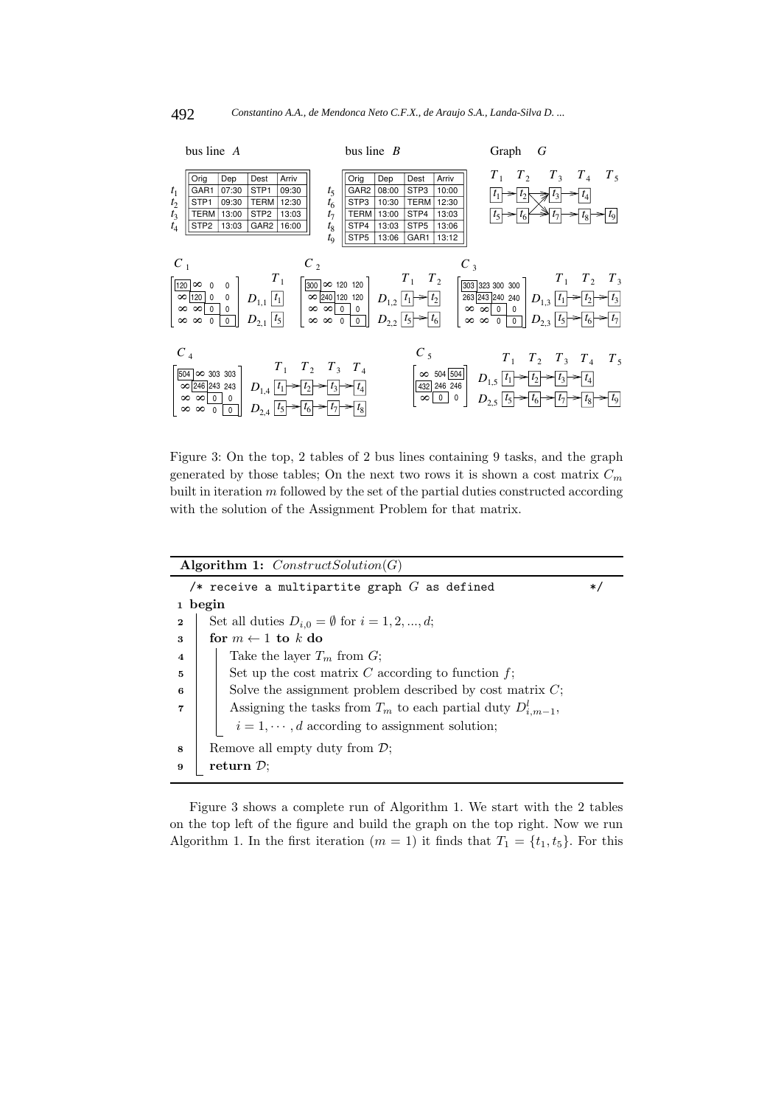

Figure 3: On the top, 2 tables of 2 bus lines containing 9 tasks, and the graph generated by those tables; On the next two rows it is shown a cost matrix  $C_m$ built in iteration  $m$  followed by the set of the partial duties constructed according with the solution of the Assignment Problem for that matrix.

|                         | Algorithm 1: $ConstructSolution(G)$                                 |     |
|-------------------------|---------------------------------------------------------------------|-----|
|                         | /* receive a multipartite graph $G$ as defined                      | $*$ |
|                         | 1 begin                                                             |     |
| $\mathbf{2}$            | Set all duties $D_{i,0} = \emptyset$ for $i = 1, 2, , d$ ;          |     |
| 3                       | for $m \leftarrow 1$ to k do                                        |     |
| $\overline{\mathbf{4}}$ | Take the layer $T_m$ from G;                                        |     |
| 5                       | Set up the cost matrix $C$ according to function $f$ ;              |     |
| 6                       | Solve the assignment problem described by cost matrix $C$ ;         |     |
| 7                       | Assigning the tasks from $T_m$ to each partial duty $D_{i,m-1}^l$ , |     |
|                         | $i = 1, \dots, d$ according to assignment solution;                 |     |
| 8                       | Remove all empty duty from $\mathcal{D}$ ;                          |     |
| 9                       | return $\mathcal{D}$ ;                                              |     |

Figure 3 shows a complete run of Algorithm 1. We start with the 2 tables on the top left of the figure and build the graph on the top right. Now we run Algorithm 1. In the first iteration ( $m = 1$ ) it finds that  $T_1 = \{t_1, t_5\}$ . For this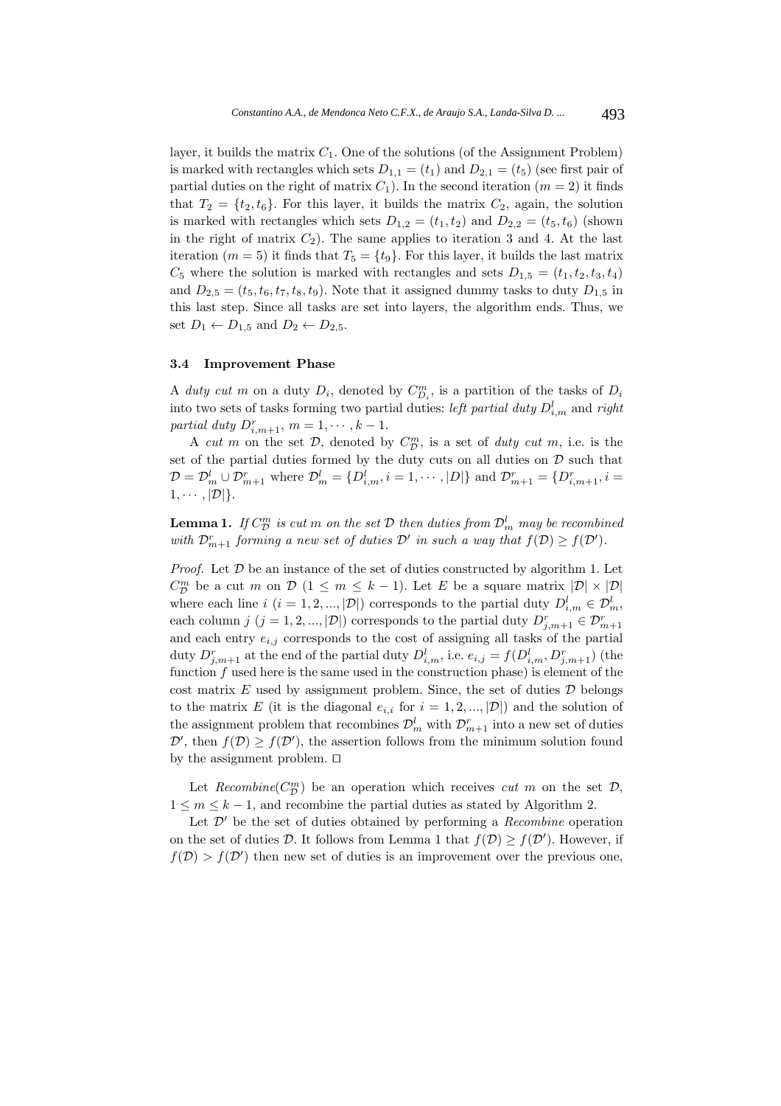layer, it builds the matrix  $C_1$ . One of the solutions (of the Assignment Problem) is marked with rectangles which sets  $D_{1,1} = (t_1)$  and  $D_{2,1} = (t_5)$  (see first pair of partial duties on the right of matrix  $C_1$ ). In the second iteration  $(m = 2)$  it finds that  $T_2 = \{t_2, t_6\}$ . For this layer, it builds the matrix  $C_2$ , again, the solution is marked with rectangles which sets  $D_{1,2} = (t_1, t_2)$  and  $D_{2,2} = (t_5, t_6)$  (shown in the right of matrix  $C_2$ ). The same applies to iteration 3 and 4. At the last iteration ( $m = 5$ ) it finds that  $T_5 = \{t_9\}$ . For this layer, it builds the last matrix  $C_5$  where the solution is marked with rectangles and sets  $D_{1,5} = (t_1, t_2, t_3, t_4)$ and  $D_{2,5} = (t_5, t_6, t_7, t_8, t_9)$ . Note that it assigned dummy tasks to duty  $D_{1,5}$  in this last step. Since all tasks are set into layers, the algorithm ends. Thus, we set  $D_1 \leftarrow D_{1,5}$  and  $D_2 \leftarrow D_{2,5}$ .

#### **3.4 Improvement Phase**

A duty cut m on a duty  $D_i$ , denoted by  $C_{D_i}^m$ , is a partition of the tasks of  $D_i$ into two sets of tasks forming two partial duties: *left partial duty*  $D_{i,m}^l$  and right partial duty  $D^r_{i,m+1}$ ,  $m = 1, \dots, k-1$ .

A cut m on the set  $D$ , denoted by  $C_{\mathcal{D}}^{m}$ , is a set of duty cut m, i.e. is the set of the partial duties formed by the duty cuts on all duties on  $D$  such that  $D = D_m^l \cup D_{m+1}^r$  where  $D_m^l = \{D_{i,m}^l, i = 1, \cdots, |D|\}$  and  $D_{m+1}^r = \{D_{i,m+1}^r, i = 1, \cdots, i\}$  $1, \cdots, |\mathcal{D}|\}.$ 

**Lemma 1.** If  $C_{\mathcal{D}}^{m}$  is cut m on the set  $\mathcal D$  then duties from  $\mathcal D_m^l$  may be recombined with  $\mathcal{D}_{m+1}^r$  forming a new set of duties  $\mathcal{D}'$  in such a way that  $f(\mathcal{D}) \geq f(\mathcal{D}')$ .

*Proof.* Let  $D$  be an instance of the set of duties constructed by algorithm 1. Let  $C_{\mathcal{D}}^{m}$  be a cut m on  $\mathcal{D}$  (1  $\leq m \leq k-1$ ). Let E be a square matrix  $|\mathcal{D}| \times |\mathcal{D}|$ where each line  $i$   $(i = 1, 2, ..., |\mathcal{D}|)$  corresponds to the partial duty  $D_{i,m}^l \in \mathcal{D}_m^l$ , each column j  $(j = 1, 2, ..., |\mathcal{D}|)$  corresponds to the partial duty  $D^r_{j,m+1} \in \mathcal{D}^r_{m+1}$ and each entry  $e_{i,j}$  corresponds to the cost of assigning all tasks of the partial duty  $D_{j,m+1}^r$  at the end of the partial duty  $D_{i,m}^l$ , i.e.  $e_{i,j} = f(D_{i,m}^l, D_{j,m+1}^r)$  (the function  $f$  used here is the same used in the construction phase) is element of the cost matrix  $E$  used by assignment problem. Since, the set of duties  $D$  belongs to the matrix E (it is the diagonal  $e_{i,i}$  for  $i = 1, 2, ..., |\mathcal{D}|$ ) and the solution of the assignment problem that recombines  $\mathcal{D}_{m}^{l}$  with  $\mathcal{D}_{m+1}^{r}$  into a new set of duties  $\mathcal{D}'$ , then  $f(\mathcal{D}) \geq f(\mathcal{D}')$ , the assertion follows from the minimum solution found by the assignment problem.  $\square$ 

Let  $Recombine(C_{\mathcal{D}}^{m})$  be an operation which receives *cut* m on the set  $\mathcal{D},$  $1 \leq m \leq k-1$ , and recombine the partial duties as stated by Algorithm 2.

Let  $\mathcal{D}'$  be the set of duties obtained by performing a *Recombine* operation on the set of duties D. It follows from Lemma 1 that  $f(\mathcal{D}) \geq f(\mathcal{D}')$ . However, if  $f(\mathcal{D}) > f(\mathcal{D}')$  then new set of duties is an improvement over the previous one,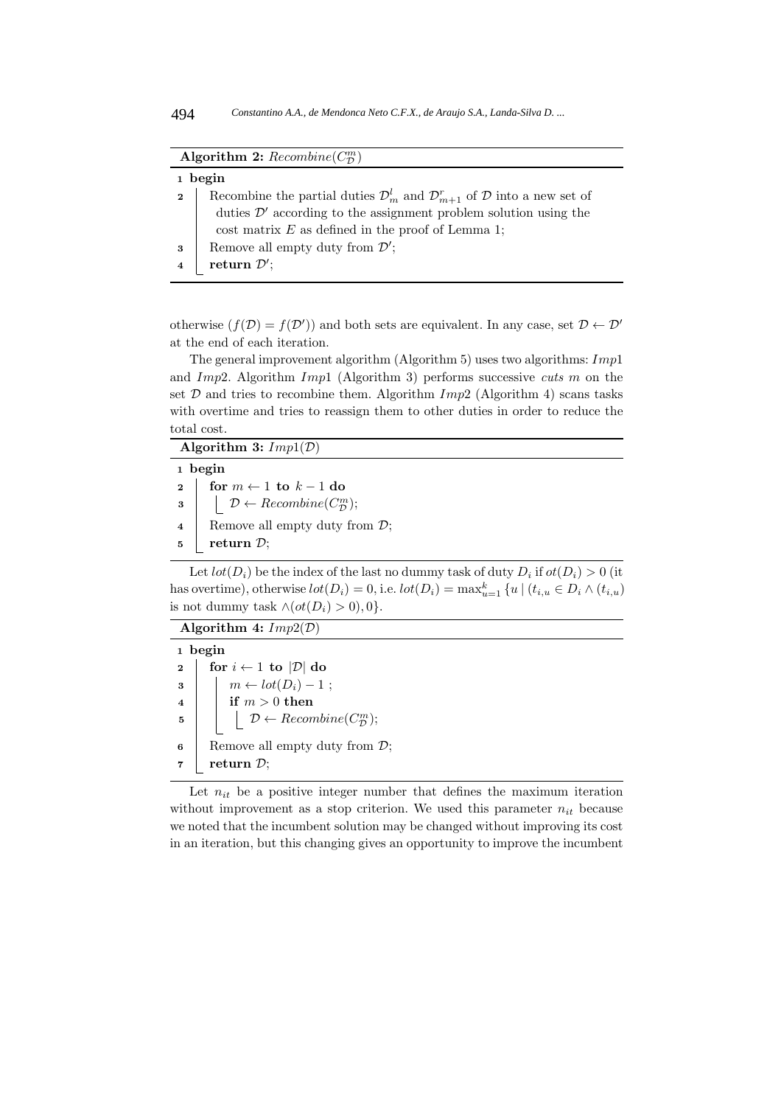| Algorithm 2: $Recombine(C^m_{\mathcal{D}})$ |                                                                                                                   |  |  |  |  |
|---------------------------------------------|-------------------------------------------------------------------------------------------------------------------|--|--|--|--|
|                                             | 1 begin                                                                                                           |  |  |  |  |
| $\mathbf{2}$                                | Recombine the partial duties $\mathcal{D}_{m}^{l}$ and $\mathcal{D}_{m+1}^{r}$ of $\mathcal{D}$ into a new set of |  |  |  |  |
|                                             | duties $\mathcal{D}'$ according to the assignment problem solution using the                                      |  |  |  |  |
|                                             | cost matrix $E$ as defined in the proof of Lemma 1;                                                               |  |  |  |  |
| 3                                           | Remove all empty duty from $\mathcal{D}'$ ;                                                                       |  |  |  |  |
|                                             | return $\mathcal{D}'$ ;                                                                                           |  |  |  |  |

otherwise  $(f(\mathcal{D}) = f(\mathcal{D}'))$  and both sets are equivalent. In any case, set  $\mathcal{D} \leftarrow \mathcal{D}'$ at the end of each iteration.

The general improvement algorithm (Algorithm 5) uses two algorithms:  $Imp1$ and Imp2. Algorithm Imp1 (Algorithm 3) performs successive cuts m on the set  $D$  and tries to recombine them. Algorithm  $Imp2$  (Algorithm 4) scans tasks with overtime and tries to reassign them to other duties in order to reduce the total cost.

**Algorithm 3:** Imp1(D)

|                         | 1 begin                                                              |
|-------------------------|----------------------------------------------------------------------|
| $2 \mid$                | for $m \leftarrow 1$ to $k-1$ do                                     |
| $\overline{\mathbf{3}}$ | $\vert \quad \mathcal{D} \leftarrow Recombine(C_{\mathcal{D}}^{m});$ |
| $\overline{\mathbf{4}}$ | Remove all empty duty from $\mathcal{D}$ ;                           |
| $5^{\circ}$             | return $\mathcal{D}$ ;                                               |

Let  $lot(D_i)$  be the index of the last no dummy task of duty  $D_i$  if  $ot(D_i) > 0$  (it has overtime), otherwise  $lot(D_i) = 0$ , i.e.  $lot(D_i) = \max_{u=1}^k \{u \mid (t_{i,u} \in D_i \wedge (t_{i,u}))\}$ is not dummy task  $\land (ot(D_i) > 0), 0$ .

**Algorithm 4:** Imp2(D)

**<sup>1</sup> begin 2 for**  $i \leftarrow 1$  **to**  $|\mathcal{D}|$  **do**  $\mathbf{3} \mid \mathbf{m} \leftarrow lot(D_i) - 1$ ;  $4 \mid \mathbf{if} \ m > 0 \ \mathbf{then}$ **5**  $\left\vert \left\vert \right\vert \right.$   $\mathcal{D} \leftarrow Recombine(C_{\mathcal{D}}^{m});$ **6** Remove all empty duty from  $\mathcal{D}$ ; **7 return**  $\mathcal{D}$ ;

Let  $n_{it}$  be a positive integer number that defines the maximum iteration without improvement as a stop criterion. We used this parameter  $n_{it}$  because we noted that the incumbent solution may be changed without improving its cost in an iteration, but this changing gives an opportunity to improve the incumbent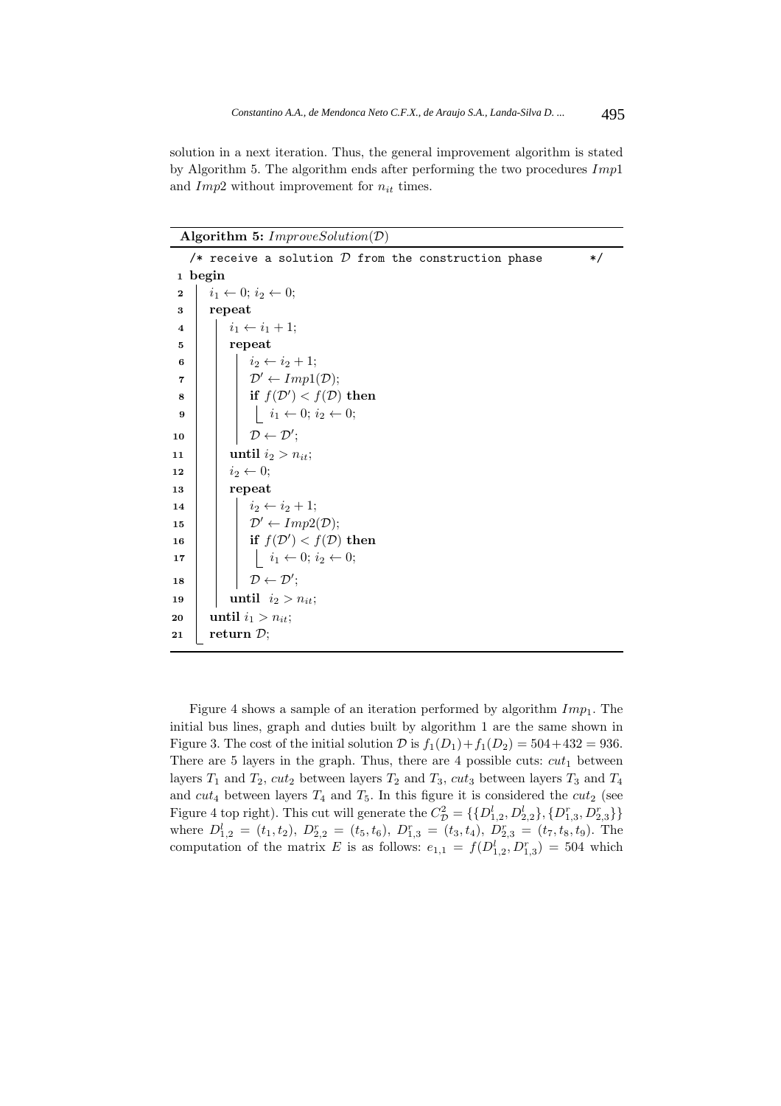solution in a next iteration. Thus, the general improvement algorithm is stated by Algorithm 5. The algorithm ends after performing the two procedures  $Imp1$ and  $Imp2$  without improvement for  $n_{it}$  times.

**Algorithm 5:** ImproveSolution(D)

|                         | /* receive a solution $D$ from the construction phase                          | $\ast/$ |
|-------------------------|--------------------------------------------------------------------------------|---------|
|                         | 1 begin                                                                        |         |
| $\mathbf{2}$            | $i_1 \leftarrow 0; i_2 \leftarrow 0;$                                          |         |
| 3                       | repeat                                                                         |         |
| $\overline{\mathbf{4}}$ | $i_1 \leftarrow i_1 + 1;$                                                      |         |
| 5                       | repeat                                                                         |         |
| 6                       | $i_2 \leftarrow i_2 + 1;$                                                      |         |
| 7                       | $\mathcal{D}' \leftarrow Imp1(\mathcal{D});$                                   |         |
| 8                       | if $f(\mathcal{D}') < f(\mathcal{D})$ then                                     |         |
| 9                       | $\begin{array}{c} \n\cdot & i_1 \leftarrow 0; i_2 \leftarrow 0; \n\end{array}$ |         |
| 10                      | $\mathcal{D} \leftarrow \mathcal{D}'$                                          |         |
| 11                      | until $i_2 > n_{it}$ ;                                                         |         |
| 12                      | $i_2 \leftarrow 0;$                                                            |         |
| 13                      | repeat                                                                         |         |
| 14                      | $i_2 \leftarrow i_2 + 1;$                                                      |         |
| 15                      | $\mathcal{D}' \leftarrow Imp2(\mathcal{D});$                                   |         |
| 16                      | if $f(\mathcal{D}') < f(\mathcal{D})$ then                                     |         |
| 17                      | $\begin{array}{c} \n\cdot & i_1 \leftarrow 0; i_2 \leftarrow 0; \n\end{array}$ |         |
| 18                      | $\mathcal{D} \leftarrow \mathcal{D}^{\prime};$                                 |         |
| 19                      | until $i_2 > n_{it}$ ;                                                         |         |
| 20                      | until $i_1 > n_{it}$ ;                                                         |         |
| 21                      | return $\mathcal{D};$                                                          |         |

Figure 4 shows a sample of an iteration performed by algorithm  $Imp_1$ . The initial bus lines, graph and duties built by algorithm 1 are the same shown in Figure 3. The cost of the initial solution  $\mathcal D$  is  $f_1(D_1)+f_1(D_2)=504+432=936$ . There are 5 layers in the graph. Thus, there are 4 possible cuts:  $cut_1$  between layers  $T_1$  and  $T_2$ ,  $cut_2$  between layers  $T_2$  and  $T_3$ ,  $cut_3$  between layers  $T_3$  and  $T_4$ and  $cut_4$  between layers  $T_4$  and  $T_5$ . In this figure it is considered the  $cut_2$  (see Figure 4 top right). This cut will generate the  $C_{\mathcal{D}}^2 = \{ \{D_{1,2}^l, D_{2,2}^l\}, \{D_{1,3}^r, D_{2,3}^r\} \}$ where  $D_{1,2}^l = (t_1, t_2), D_{2,2}^r = (t_5, t_6), D_{1,3}^r = (t_3, t_4), D_{2,3}^r = (t_7, t_8, t_9)$ . The computation of the matrix E is as follows:  $e_{1,1} = f(D_{1,2}^l, D_{1,3}^r) = 504$  which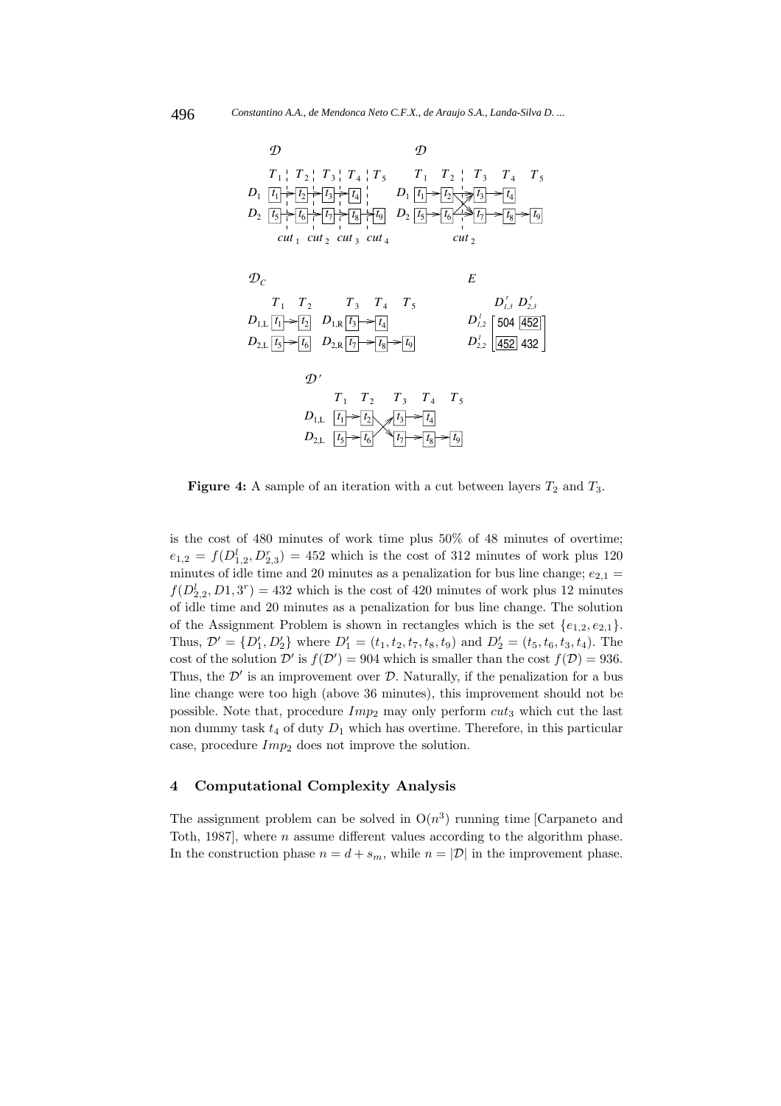

**Figure 4:** A sample of an iteration with a cut between layers  $T_2$  and  $T_3$ .

is the cost of 480 minutes of work time plus 50% of 48 minutes of overtime;  $e_{1,2} = f(D_{1,2}^l, D_{2,3}^r) = 452$  which is the cost of 312 minutes of work plus 120 minutes of idle time and 20 minutes as a penalization for bus line change;  $e_{2,1}$  =  $f(D_{2,2}^l, D_1, 3^r) = 432$  which is the cost of 420 minutes of work plus 12 minutes of idle time and 20 minutes as a penalization for bus line change. The solution of the Assignment Problem is shown in rectangles which is the set  $\{e_{1,2}, e_{2,1}\}.$ Thus,  $\mathcal{D}' = \{D'_1, D'_2\}$  where  $D'_1 = (t_1, t_2, t_7, t_8, t_9)$  and  $D'_2 = (t_5, t_6, t_3, t_4)$ . The cost of the solution D' is  $f(D') = 904$  which is smaller than the cost  $f(D) = 936$ . Thus, the  $\mathcal{D}'$  is an improvement over  $\mathcal{D}$ . Naturally, if the penalization for a bus line change were too high (above 36 minutes), this improvement should not be possible. Note that, procedure  $Imp_2$  may only perform  $cut_3$  which cut the last non dummy task  $t_4$  of duty  $D_1$  which has overtime. Therefore, in this particular case, procedure  $Imp_2$  does not improve the solution.

#### **4 Computational Complexity Analysis**

The assignment problem can be solved in  $O(n^3)$  running time [Carpaneto and Toth, 1987], where n assume different values according to the algorithm phase. In the construction phase  $n = d + s_m$ , while  $n = |\mathcal{D}|$  in the improvement phase.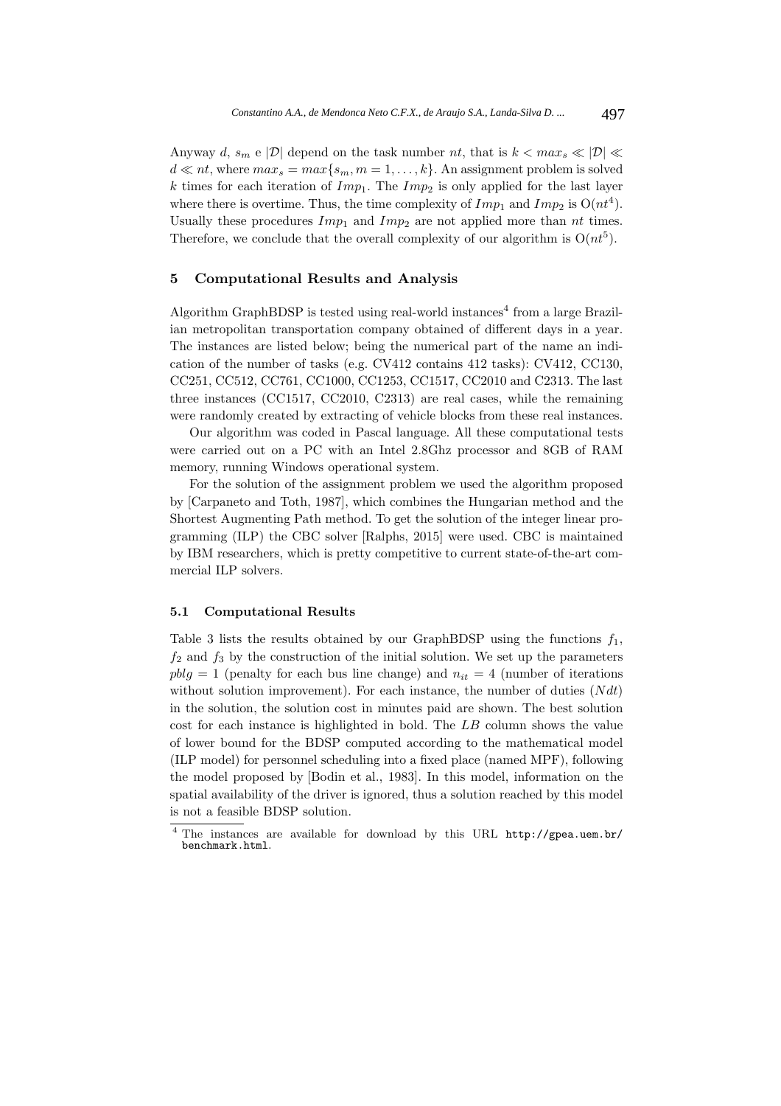Anyway d,  $s_m$  e  $|\mathcal{D}|$  depend on the task number nt, that is  $k < max_s \ll |\mathcal{D}| \ll$  $d \ll nt$ , where  $max_s = max\{s_m, m = 1, \ldots, k\}$ . An assignment problem is solved k times for each iteration of  $Imp_1$ . The  $Imp_2$  is only applied for the last layer where there is overtime. Thus, the time complexity of  $Imp_1$  and  $Imp_2$  is  $O(nt^4)$ . Usually these procedures  $Imp_1$  and  $Imp_2$  are not applied more than nt times. Therefore, we conclude that the overall complexity of our algorithm is  $O(nt^5)$ .

## **5 Computational Results and Analysis**

Algorithm GraphBDSP is tested using real-world instances<sup>4</sup> from a large Brazilian metropolitan transportation company obtained of different days in a year. The instances are listed below; being the numerical part of the name an indication of the number of tasks (e.g. CV412 contains 412 tasks): CV412, CC130, CC251, CC512, CC761, CC1000, CC1253, CC1517, CC2010 and C2313. The last three instances (CC1517, CC2010, C2313) are real cases, while the remaining were randomly created by extracting of vehicle blocks from these real instances.

Our algorithm was coded in Pascal language. All these computational tests were carried out on a PC with an Intel 2.8Ghz processor and 8GB of RAM memory, running Windows operational system.

For the solution of the assignment problem we used the algorithm proposed by [Carpaneto and Toth, 1987], which combines the Hungarian method and the Shortest Augmenting Path method. To get the solution of the integer linear programming (ILP) the CBC solver [Ralphs, 2015] were used. CBC is maintained by IBM researchers, which is pretty competitive to current state-of-the-art commercial ILP solvers.

#### **5.1 Computational Results**

Table 3 lists the results obtained by our GraphBDSP using the functions  $f_1$ ,  $f_2$  and  $f_3$  by the construction of the initial solution. We set up the parameters  $pblq = 1$  (penalty for each bus line change) and  $n_{it} = 4$  (number of iterations without solution improvement). For each instance, the number of duties  $(Ndt)$ in the solution, the solution cost in minutes paid are shown. The best solution cost for each instance is highlighted in bold. The LB column shows the value of lower bound for the BDSP computed according to the mathematical model (ILP model) for personnel scheduling into a fixed place (named MPF), following the model proposed by [Bodin et al., 1983]. In this model, information on the spatial availability of the driver is ignored, thus a solution reached by this model is not a feasible BDSP solution.

<sup>4</sup> The instances are available for download by this URL http://gpea.uem.br/ benchmark.html.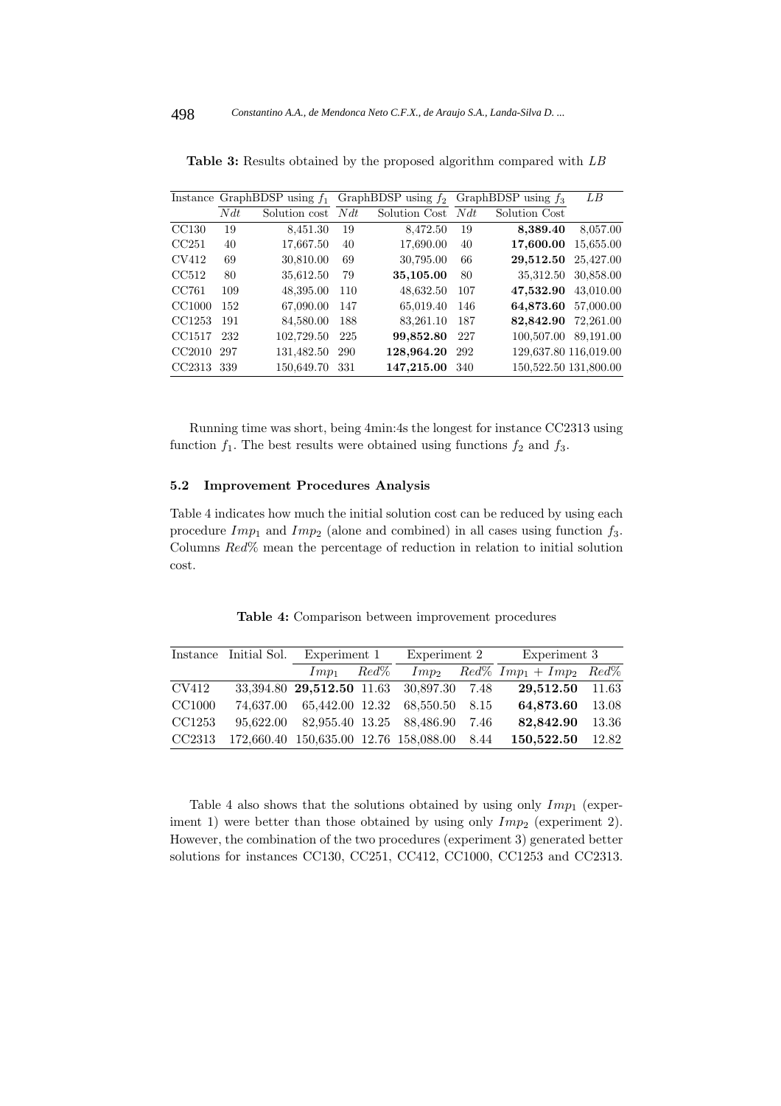|        |     | Instance GraphBDSP using $f_1$ |      | GraphBDSP using $f_2$ |     | GraphBDSP using $f_3$ | LB        |
|--------|-----|--------------------------------|------|-----------------------|-----|-----------------------|-----------|
|        | Ndt | Solution cost                  | Ndt  | Solution Cost         | Ndt | Solution Cost         |           |
| CC130  | 19  | 8,451.30                       | 19   | 8,472.50              | 19  | 8,389.40              | 8,057.00  |
| CC251  | 40  | 17,667.50                      | 40   | 17,690.00             | 40  | 17,600.00             | 15,655.00 |
| CV412  | 69  | 30,810.00                      | 69   | 30,795.00             | 66  | 29,512.50             | 25,427.00 |
| CC512  | 80  | 35,612.50                      | 79   | 35,105.00             | 80  | 35,312.50             | 30,858.00 |
| CC761  | 109 | 48,395.00                      | 110  | 48,632.50             | 107 | 47,532.90             | 43,010.00 |
| CC1000 | 152 | 67,090.00                      | 147  | 65,019.40             | 146 | 64,873.60             | 57,000.00 |
| CC1253 | 191 | 84,580.00                      | 188  | 83,261.10             | 187 | 82,842.90             | 72,261.00 |
| CC1517 | 232 | 102,729.50                     | 225  | 99,852.80             | 227 | 100,507.00            | 89.191.00 |
| CC2010 | 297 | 131,482.50                     | -290 | 128,964.20            | 292 | 129,637.80 116,019.00 |           |
| CC2313 | 339 | 150,649.70                     | -331 | 147,215.00            | 340 | 150,522.50 131,800.00 |           |

**Table 3:** Results obtained by the proposed algorithm compared with LB

Running time was short, being 4min:4s the longest for instance CC2313 using function  $f_1$ . The best results were obtained using functions  $f_2$  and  $f_3$ .

#### **5.2 Improvement Procedures Analysis**

Table 4 indicates how much the initial solution cost can be reduced by using each procedure  $Imp_1$  and  $Imp_2$  (alone and combined) in all cases using function  $f_3$ . Columns Red% mean the percentage of reduction in relation to initial solution cost.

**Table 4:** Comparison between improvement procedures

|        | Instance Initial Sol. Experiment 1          |         |                |  | Experiment 2 Experiment 3                      |       |
|--------|---------------------------------------------|---------|----------------|--|------------------------------------------------|-------|
|        | $Imp_1$                                     | $Red\%$ |                |  | $Imp_2 \qquad Red\% \; Imp_1 + Imp_2 \; Red\%$ |       |
| CV412  | 33,394.80 29,512.50 11.63 30,897.30 7.48    |         |                |  | 29,512.50 11.63                                |       |
| CC1000 | 74,637.00 65,442.00 12.32                   |         | 68,550.50 8.15 |  | 64,873.60                                      | 13.08 |
| CC1253 | 95,622.00 82,955.40 13.25 88,486.90 7.46    |         |                |  | 82,842.90                                      | 13.36 |
| CC2313 | 172,660.40 150,635.00 12.76 158,088.00 8.44 |         |                |  | 150,522.50                                     | 12.82 |

Table 4 also shows that the solutions obtained by using only  $Imp_1$  (experiment 1) were better than those obtained by using only  $Imp_2$  (experiment 2). However, the combination of the two procedures (experiment 3) generated better solutions for instances CC130, CC251, CC412, CC1000, CC1253 and CC2313.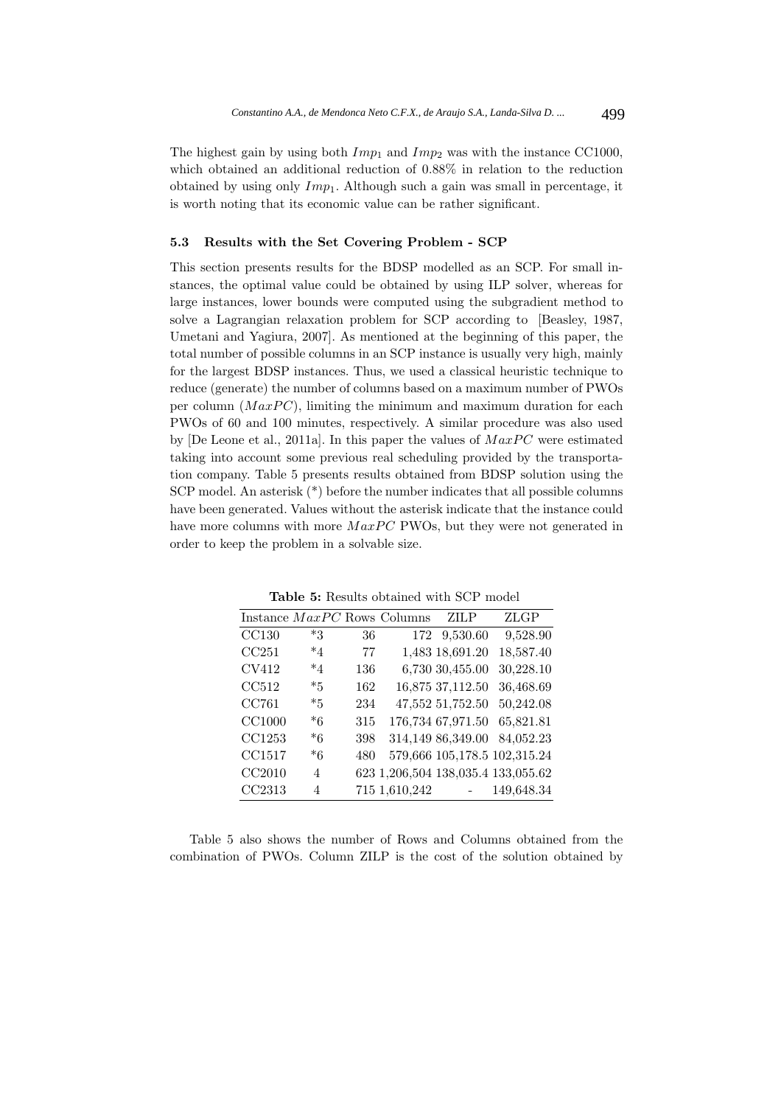The highest gain by using both  $Imp_1$  and  $Imp_2$  was with the instance CC1000, which obtained an additional reduction of 0.88% in relation to the reduction obtained by using only  $Imp_1$ . Although such a gain was small in percentage, it is worth noting that its economic value can be rather significant.

#### **5.3 Results with the Set Covering Problem - SCP**

This section presents results for the BDSP modelled as an SCP. For small instances, the optimal value could be obtained by using ILP solver, whereas for large instances, lower bounds were computed using the subgradient method to solve a Lagrangian relaxation problem for SCP according to [Beasley, 1987, Umetani and Yagiura, 2007]. As mentioned at the beginning of this paper, the total number of possible columns in an SCP instance is usually very high, mainly for the largest BDSP instances. Thus, we used a classical heuristic technique to reduce (generate) the number of columns based on a maximum number of PWOs per column  $(MaxPC)$ , limiting the minimum and maximum duration for each PWOs of 60 and 100 minutes, respectively. A similar procedure was also used by  $[De Leone et al., 2011a]$ . In this paper the values of  $MaxPC$  were estimated taking into account some previous real scheduling provided by the transportation company. Table 5 presents results obtained from BDSP solution using the SCP model. An asterisk (\*) before the number indicates that all possible columns have been generated. Values without the asterisk indicate that the instance could have more columns with more  $MaxPC$  PWOs, but they were not generated in order to keep the problem in a solvable size.

|               |         |     | Instance MaxPC Rows Columns | ZH P              | ZLGP                               |
|---------------|---------|-----|-----------------------------|-------------------|------------------------------------|
| CC130         | $*3$    | 36  | 172                         | 9,530.60          | 9,528.90                           |
| CC251         | $*_{4}$ | 77  |                             | 1,483 18,691.20   | 18,587.40                          |
| CV412         | *4      | 136 |                             | 6,730 30,455.00   | 30,228.10                          |
| CC512         | $*5$    | 162 |                             | 16,875 37,112.50  | 36,468.69                          |
| CC761         | $*5$    | 234 |                             | 47,552 51,752.50  | 50,242.08                          |
| <b>CC1000</b> | *6      | 315 |                             | 176,734 67,971.50 | 65,821.81                          |
| CC1253        | *6      | 398 |                             | 314,149 86,349.00 | 84,052.23                          |
| CC1517        | *6      | 480 |                             |                   | 579,666 105,178.5 102,315.24       |
| CC2010        | 4       |     |                             |                   | 623 1,206,504 138,035.4 133,055.62 |
| CC2313        | 4       |     | 715 1,610,242               |                   | 149,648.34                         |

**Table 5:** Results obtained with SCP model

Table 5 also shows the number of Rows and Columns obtained from the combination of PWOs. Column ZILP is the cost of the solution obtained by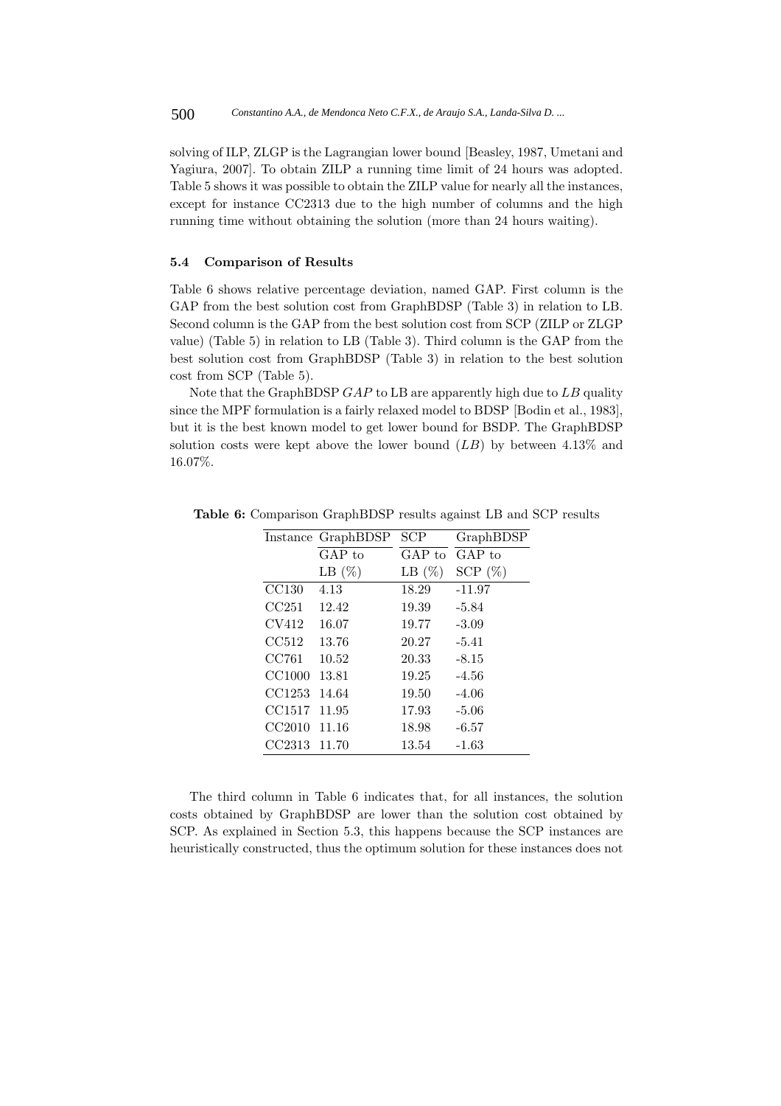solving of ILP, ZLGP is the Lagrangian lower bound [Beasley, 1987, Umetani and Yagiura, 2007]. To obtain ZILP a running time limit of 24 hours was adopted. Table 5 shows it was possible to obtain the ZILP value for nearly all the instances, except for instance CC2313 due to the high number of columns and the high running time without obtaining the solution (more than 24 hours waiting).

### **5.4 Comparison of Results**

Table 6 shows relative percentage deviation, named GAP. First column is the GAP from the best solution cost from GraphBDSP (Table 3) in relation to LB. Second column is the GAP from the best solution cost from SCP (ZILP or ZLGP value) (Table 5) in relation to LB (Table 3). Third column is the GAP from the best solution cost from GraphBDSP (Table 3) in relation to the best solution cost from SCP (Table 5).

Note that the GraphBDSP  $GAP$  to LB are apparently high due to  $LB$  quality since the MPF formulation is a fairly relaxed model to BDSP [Bodin et al., 1983], but it is the best known model to get lower bound for BSDP. The GraphBDSP solution costs were kept above the lower bound  $(LB)$  by between 4.13% and 16.07%.

|        | Instance GraphBDSP | SCP       | GraphBDSP  |
|--------|--------------------|-----------|------------|
|        | $GAP$ to           | GAP to    | $GAP$ to   |
|        | LB $(\%)$          | LB $(\%)$ | SCP $(\%)$ |
| CC130  | 4.13               | 18.29     | $-11.97$   |
| CC251  | 12.42              | 19.39     | $-5.84$    |
| CV412  | 16.07              | 19.77     | $-3.09$    |
| CC512  | 13.76              | 20.27     | $-5.41$    |
| CC761  | 10.52              | 20.33     | $-8.15$    |
| CC1000 | 13.81              | 19.25     | $-4.56$    |
| CC1253 | 14.64              | 19.50     | $-4.06$    |
| CC1517 | 11.95              | 17.93     | $-5.06$    |
| CC2010 | 11.16              | 18.98     | $-6.57$    |
| CC2313 | 11.70              | 13.54     | $-1.63$    |

**Table 6:** Comparison GraphBDSP results against LB and SCP results

The third column in Table 6 indicates that, for all instances, the solution costs obtained by GraphBDSP are lower than the solution cost obtained by SCP. As explained in Section 5.3, this happens because the SCP instances are heuristically constructed, thus the optimum solution for these instances does not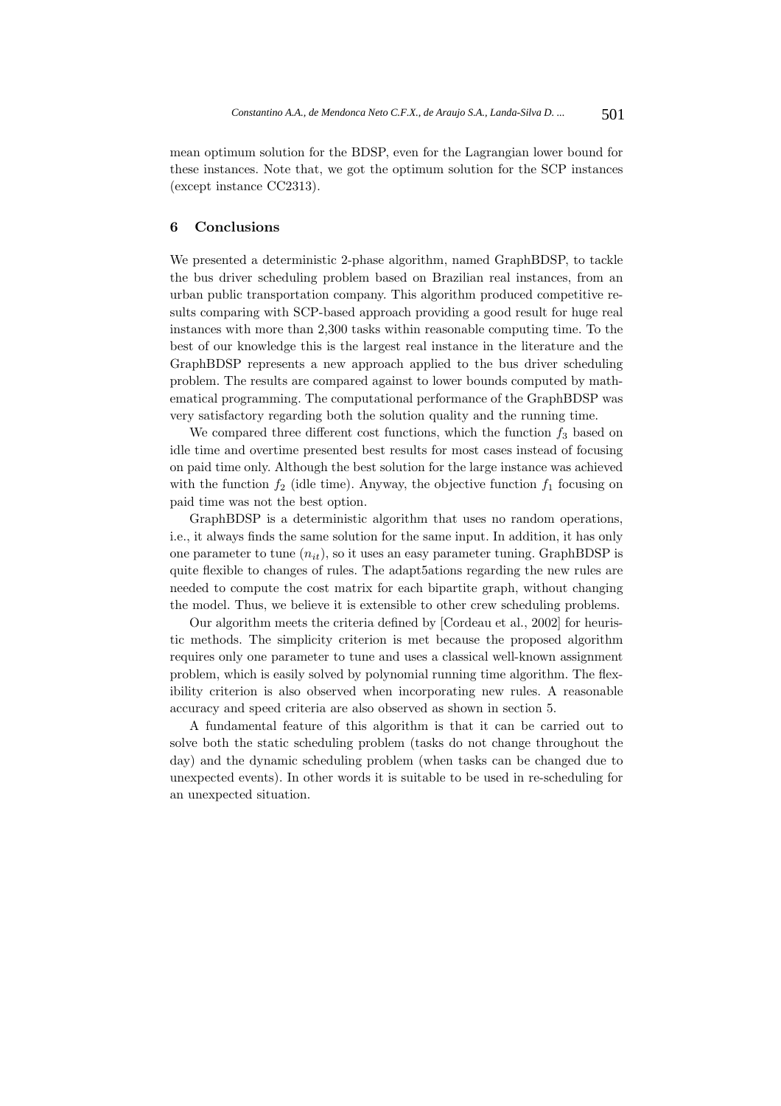mean optimum solution for the BDSP, even for the Lagrangian lower bound for these instances. Note that, we got the optimum solution for the SCP instances (except instance CC2313).

## **6 Conclusions**

We presented a deterministic 2-phase algorithm, named GraphBDSP, to tackle the bus driver scheduling problem based on Brazilian real instances, from an urban public transportation company. This algorithm produced competitive results comparing with SCP-based approach providing a good result for huge real instances with more than 2,300 tasks within reasonable computing time. To the best of our knowledge this is the largest real instance in the literature and the GraphBDSP represents a new approach applied to the bus driver scheduling problem. The results are compared against to lower bounds computed by mathematical programming. The computational performance of the GraphBDSP was very satisfactory regarding both the solution quality and the running time.

We compared three different cost functions, which the function  $f_3$  based on idle time and overtime presented best results for most cases instead of focusing on paid time only. Although the best solution for the large instance was achieved with the function  $f_2$  (idle time). Anyway, the objective function  $f_1$  focusing on paid time was not the best option.

GraphBDSP is a deterministic algorithm that uses no random operations, i.e., it always finds the same solution for the same input. In addition, it has only one parameter to tune  $(n_{it})$ , so it uses an easy parameter tuning. GraphBDSP is quite flexible to changes of rules. The adapt5ations regarding the new rules are needed to compute the cost matrix for each bipartite graph, without changing the model. Thus, we believe it is extensible to other crew scheduling problems.

Our algorithm meets the criteria defined by [Cordeau et al., 2002] for heuristic methods. The simplicity criterion is met because the proposed algorithm requires only one parameter to tune and uses a classical well-known assignment problem, which is easily solved by polynomial running time algorithm. The flexibility criterion is also observed when incorporating new rules. A reasonable accuracy and speed criteria are also observed as shown in section 5.

A fundamental feature of this algorithm is that it can be carried out to solve both the static scheduling problem (tasks do not change throughout the day) and the dynamic scheduling problem (when tasks can be changed due to unexpected events). In other words it is suitable to be used in re-scheduling for an unexpected situation.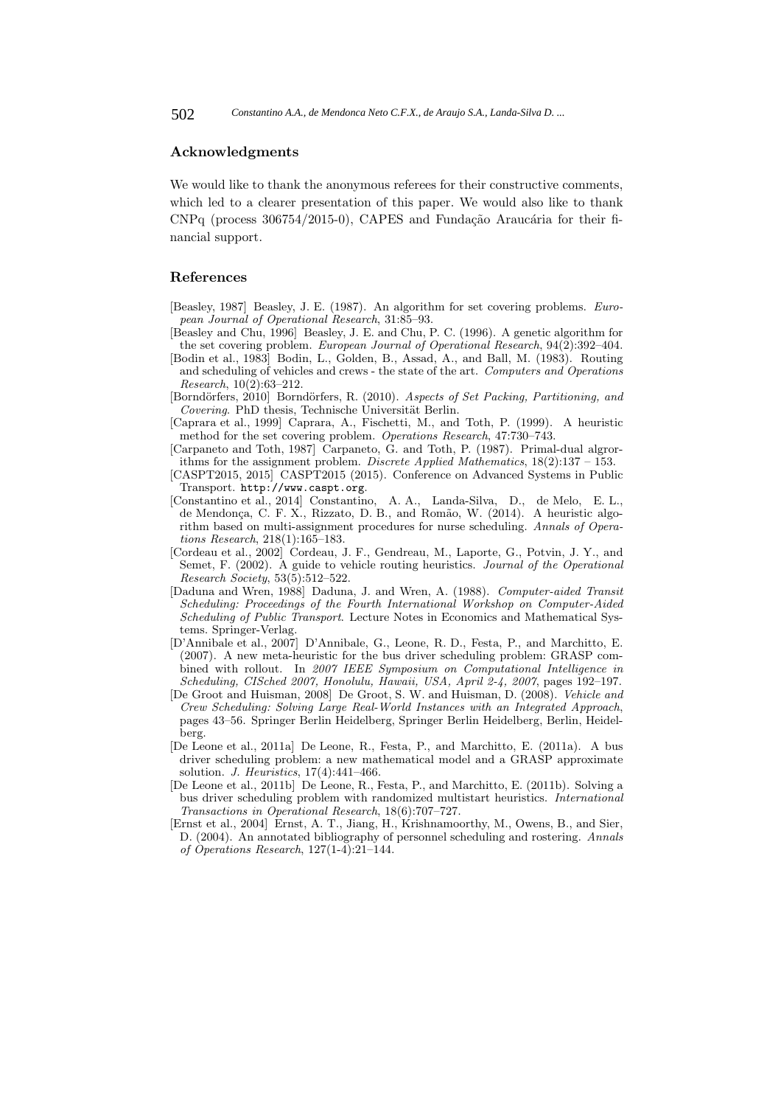## **Acknowledgments**

We would like to thank the anonymous referees for their constructive comments, which led to a clearer presentation of this paper. We would also like to thank  $CNPq$  (process 306754/2015-0), CAPES and Fundação Araucária for their financial support.

#### **References**

- [Beasley, 1987] Beasley, J. E. (1987). An algorithm for set covering problems. European Journal of Operational Research, 31:85–93.
- [Beasley and Chu, 1996] Beasley, J. E. and Chu, P. C. (1996). A genetic algorithm for the set covering problem. European Journal of Operational Research, 94(2):392–404.
- [Bodin et al., 1983] Bodin, L., Golden, B., Assad, A., and Ball, M. (1983). Routing and scheduling of vehicles and crews - the state of the art. Computers and Operations Research,  $10(\overline{2})$ :63-212.
- [Borndörfers, 2010] Borndörfers, R. (2010). Aspects of Set Packing, Partitioning, and  $Covering$ . PhD thesis, Technische Universität Berlin.
- [Caprara et al., 1999] Caprara, A., Fischetti, M., and Toth, P. (1999). A heuristic method for the set covering problem. Operations Research, 47:730–743.
- [Carpaneto and Toth, 1987] Carpaneto, G. and Toth, P. (1987). Primal-dual algrorithms for the assignment problem. Discrete Applied Mathematics,  $18(2):137 - 153$ .
- [CASPT2015, 2015] CASPT2015 (2015). Conference on Advanced Systems in Public Transport. http://www.caspt.org.
- [Constantino et al., 2014] Constantino, A. A., Landa-Silva, D., de Melo, E. L., de Mendonça, C. F. X., Rizzato, D. B., and Romão, W. (2014). A heuristic algorithm based on multi-assignment procedures for nurse scheduling. Annals of Operations Research, 218(1):165–183.
- [Cordeau et al., 2002] Cordeau, J. F., Gendreau, M., Laporte, G., Potvin, J. Y., and Semet, F. (2002). A guide to vehicle routing heuristics. Journal of the Operational Research Society, 53(5):512–522.
- [Daduna and Wren, 1988] Daduna, J. and Wren, A. (1988). Computer-aided Transit Scheduling: Proceedings of the Fourth International Workshop on Computer-Aided Scheduling of Public Transport. Lecture Notes in Economics and Mathematical Systems. Springer-Verlag.
- [D'Annibale et al., 2007] D'Annibale, G., Leone, R. D., Festa, P., and Marchitto, E. (2007). A new meta-heuristic for the bus driver scheduling problem: GRASP combined with rollout. In 2007 IEEE Symposium on Computational Intelligence in Scheduling, CISched 2007, Honolulu, Hawaii, USA, April 2-4, 2007, pages 192–197.
- [De Groot and Huisman, 2008] De Groot, S. W. and Huisman, D. (2008). Vehicle and Crew Scheduling: Solving Large Real-World Instances with an Integrated Approach, pages 43–56. Springer Berlin Heidelberg, Springer Berlin Heidelberg, Berlin, Heidelberg.
- [De Leone et al., 2011a] De Leone, R., Festa, P., and Marchitto, E. (2011a). A bus driver scheduling problem: a new mathematical model and a GRASP approximate solution. J. Heuristics, 17(4):441–466.
- [De Leone et al., 2011b] De Leone, R., Festa, P., and Marchitto, E. (2011b). Solving a bus driver scheduling problem with randomized multistart heuristics. International Transactions in Operational Research, 18(6):707–727.
- [Ernst et al., 2004] Ernst, A. T., Jiang, H., Krishnamoorthy, M., Owens, B., and Sier, D. (2004). An annotated bibliography of personnel scheduling and rostering. Annals of Operations Research, 127(1-4):21–144.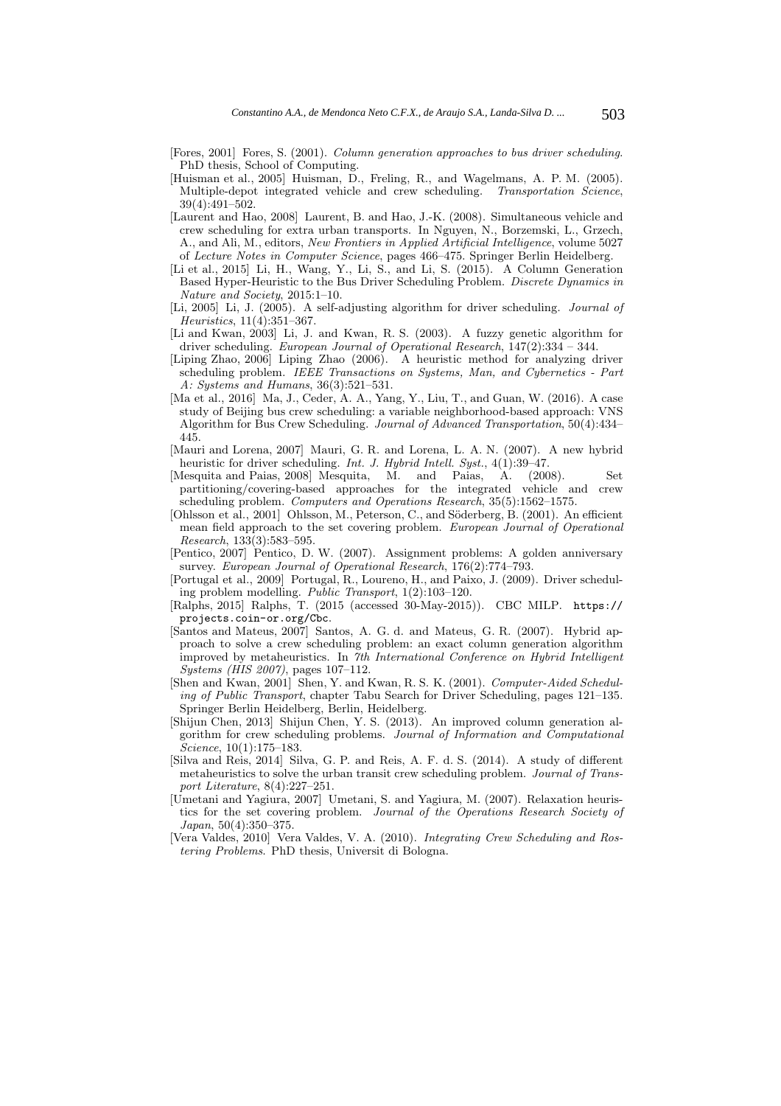- [Fores, 2001] Fores, S. (2001). Column generation approaches to bus driver scheduling. PhD thesis, School of Computing.
- [Huisman et al., 2005] Huisman, D., Freling, R., and Wagelmans, A. P. M. (2005). Multiple-depot integrated vehicle and crew scheduling. 39(4):491–502.
- [Laurent and Hao, 2008] Laurent, B. and Hao, J.-K. (2008). Simultaneous vehicle and crew scheduling for extra urban transports. In Nguyen, N., Borzemski, L., Grzech, A., and Ali, M., editors, New Frontiers in Applied Artificial Intelligence, volume 5027 of Lecture Notes in Computer Science, pages 466–475. Springer Berlin Heidelberg.
- [Li et al., 2015] Li, H., Wang, Y., Li, S., and Li, S. (2015). A Column Generation Based Hyper-Heuristic to the Bus Driver Scheduling Problem. Discrete Dynamics in Nature and Society, 2015:1–10.
- [Li, 2005] Li, J. (2005). A self-adjusting algorithm for driver scheduling. Journal of Heuristics, 11(4):351–367.
- [Li and Kwan, 2003] Li, J. and Kwan, R. S. (2003). A fuzzy genetic algorithm for driver scheduling. European Journal of Operational Research, 147(2):334 – 344.
- [Liping Zhao, 2006] Liping Zhao (2006). A heuristic method for analyzing driver scheduling problem. IEEE Transactions on Systems, Man, and Cybernetics - Part A: Systems and Humans, 36(3):521–531.
- [Ma et al., 2016] Ma, J., Ceder, A. A., Yang, Y., Liu, T., and Guan, W. (2016). A case study of Beijing bus crew scheduling: a variable neighborhood-based approach: VNS Algorithm for Bus Crew Scheduling. Journal of Advanced Transportation, 50(4):434– 445.
- [Mauri and Lorena, 2007] Mauri, G. R. and Lorena, L. A. N. (2007). A new hybrid heuristic for driver scheduling. Int. J. Hybrid Intell. Syst.,  $4(1)$ :39–47.<br>Mesquita and Paias, 2008 Mesquita, M. and Paias, A. (2008).
- [Mesquita and Paias, 2008] Mesquita, M. and Paias, A. (2008). Set partitioning/covering-based approaches for the integrated vehicle and crew scheduling problem. Computers and Operations Research, 35(5):1562–1575.
- [Ohlsson et al., 2001] Ohlsson, M., Peterson, C., and Söderberg, B. (2001). An efficient mean field approach to the set covering problem. European Journal of Operational Research, 133(3):583–595.
- [Pentico, 2007] Pentico, D. W. (2007). Assignment problems: A golden anniversary survey. European Journal of Operational Research, 176(2):774–793.
- [Portugal et al., 2009] Portugal, R., Loureno, H., and Paixo, J. (2009). Driver scheduling problem modelling. Public Transport, 1(2):103–120.
- [Ralphs, 2015] Ralphs, T. (2015 (accessed 30-May-2015)). CBC MILP. https:// projects.coin-or.org/Cbc.
- [Santos and Mateus, 2007] Santos, A. G. d. and Mateus, G. R. (2007). Hybrid approach to solve a crew scheduling problem: an exact column generation algorithm improved by metaheuristics. In  $\tilde{\gamma}$ th International Conference on Hybrid Intelligent Systems (HIS 2007), pages 107–112.
- [Shen and Kwan, 2001] Shen, Y. and Kwan, R. S. K. (2001). Computer-Aided Scheduling of Public Transport, chapter Tabu Search for Driver Scheduling, pages 121–135. Springer Berlin Heidelberg, Berlin, Heidelberg.
- [Shijun Chen, 2013] Shijun Chen, Y. S. (2013). An improved column generation algorithm for crew scheduling problems. Journal of Information and Computational Science, 10(1):175–183.
- [Silva and Reis, 2014] Silva, G. P. and Reis, A. F. d. S. (2014). A study of different metaheuristics to solve the urban transit crew scheduling problem. Journal of Transport Literature, 8(4):227–251.
- [Umetani and Yagiura, 2007] Umetani, S. and Yagiura, M. (2007). Relaxation heuristics for the set covering problem. Journal of the Operations Research Society of Japan, 50(4):350–375.
- [Vera Valdes, 2010] Vera Valdes, V. A. (2010). Integrating Crew Scheduling and Rostering Problems. PhD thesis, Universit di Bologna.